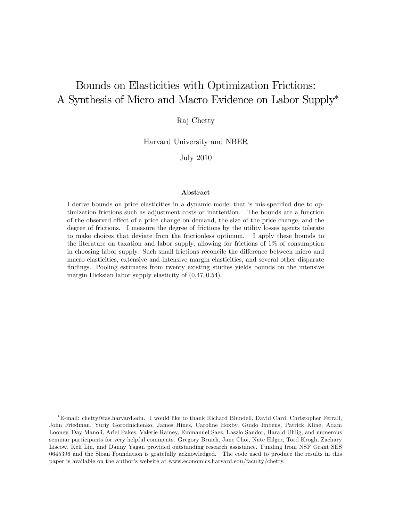# Bounds on Elasticities with Optimization Frictions: A Synthesis of Micro and Macro Evidence on Labor Supply

Raj Chetty

Harvard University and NBER

July 2010

#### Abstract

I derive bounds on price elasticities in a dynamic model that is mis-specified due to optimization frictions such as adjustment costs or inattention. The bounds are a function of the observed effect of a price change on demand, the size of the price change, and the degree of frictions. I measure the degree of frictions by the utility losses agents tolerate to make choices that deviate from the frictionless optimum. I apply these bounds to the literature on taxation and labor supply, allowing for frictions of 1% of consumption in choosing labor supply. Such small frictions reconcile the difference between micro and macro elasticities, extensive and intensive margin elasticities, and several other disparate findings. Pooling estimates from twenty existing studies yields bounds on the intensive margin Hicksian labor supply elasticity of  $(0.47, 0.54)$ .

E-mail: chetty@fas.harvard.edu. I would like to thank Richard Blundell, David Card, Christopher Ferrall, John Friedman, Yuriy Gorodnichenko, James Hines, Caroline Hoxby, Guido Imbens, Patrick Kline, Adam Looney, Day Manoli, Ariel Pakes, Valerie Ramey, Emmanuel Saez, Laszlo Sandor, Harald Uhlig, and numerous seminar participants for very helpful comments. Gregory Bruich, Jane Choi, Nate Hilger, Tord Krogh, Zachary Liscow, Keli Liu, and Danny Yagan provided outstanding research assistance. Funding from NSF Grant SES 0645396 and the Sloan Foundation is gratefully acknowledged. The code used to produce the results in this paper is available on the authorís website at www.economics.harvard.edu/faculty/chetty.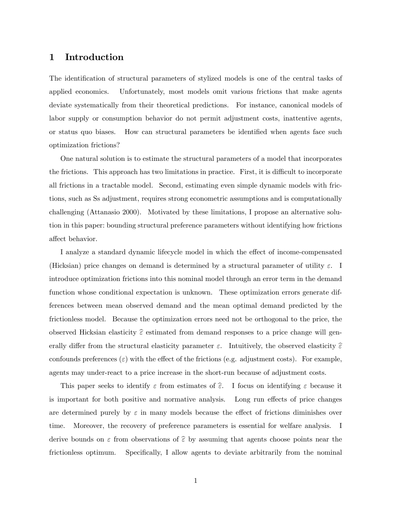# 1 Introduction

The identification of structural parameters of stylized models is one of the central tasks of applied economics. Unfortunately, most models omit various frictions that make agents deviate systematically from their theoretical predictions. For instance, canonical models of labor supply or consumption behavior do not permit adjustment costs, inattentive agents, or status quo biases. How can structural parameters be identified when agents face such optimization frictions?

One natural solution is to estimate the structural parameters of a model that incorporates the frictions. This approach has two limitations in practice. First, it is difficult to incorporate all frictions in a tractable model. Second, estimating even simple dynamic models with frictions, such as Ss adjustment, requires strong econometric assumptions and is computationally challenging (Attanasio 2000). Motivated by these limitations, I propose an alternative solution in this paper: bounding structural preference parameters without identifying how frictions affect behavior.

I analyze a standard dynamic lifecycle model in which the effect of income-compensated (Hicksian) price changes on demand is determined by a structural parameter of utility  $\varepsilon$ . I introduce optimization frictions into this nominal model through an error term in the demand function whose conditional expectation is unknown. These optimization errors generate differences between mean observed demand and the mean optimal demand predicted by the frictionless model. Because the optimization errors need not be orthogonal to the price, the observed Hicksian elasticity  $\hat{\epsilon}$  estimated from demand responses to a price change will generally differ from the structural elasticity parameter  $\varepsilon$ . Intuitively, the observed elasticity  $\hat{\varepsilon}$ confounds preferences ( $\varepsilon$ ) with the effect of the frictions (e.g. adjustment costs). For example, agents may under-react to a price increase in the short-run because of adjustment costs.

This paper seeks to identify  $\varepsilon$  from estimates of  $\widehat{\varepsilon}$ . I focus on identifying  $\varepsilon$  because it is important for both positive and normative analysis. Long run effects of price changes are determined purely by  $\varepsilon$  in many models because the effect of frictions diminishes over time. Moreover, the recovery of preference parameters is essential for welfare analysis. I derive bounds on  $\varepsilon$  from observations of  $\hat{\varepsilon}$  by assuming that agents choose points near the frictionless optimum. Specifically, I allow agents to deviate arbitrarily from the nominal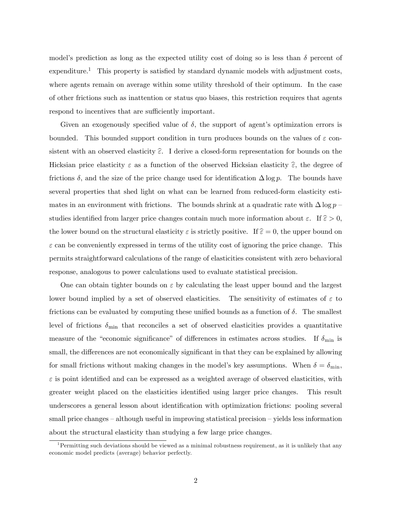model's prediction as long as the expected utility cost of doing so is less than  $\delta$  percent of  $expenditure.<sup>1</sup>$  This property is satisfied by standard dynamic models with adjustment costs, where agents remain on average within some utility threshold of their optimum. In the case of other frictions such as inattention or status quo biases, this restriction requires that agents respond to incentives that are sufficiently important.

Given an exogenously specified value of  $\delta$ , the support of agent's optimization errors is bounded. This bounded support condition in turn produces bounds on the values of  $\varepsilon$  consistent with an observed elasticity  $\hat{\epsilon}$ . I derive a closed-form representation for bounds on the Hicksian price elasticity  $\varepsilon$  as a function of the observed Hicksian elasticity  $\hat{\varepsilon}$ , the degree of frictions  $\delta$ , and the size of the price change used for identification  $\Delta \log p$ . The bounds have several properties that shed light on what can be learned from reduced-form elasticity estimates in an environment with frictions. The bounds shrink at a quadratic rate with  $\Delta \log p$ studies identified from larger price changes contain much more information about  $\varepsilon$ . If  $\hat{\varepsilon} > 0$ , the lower bound on the structural elasticity  $\varepsilon$  is strictly positive. If  $\hat{\varepsilon} = 0$ , the upper bound on  $\varepsilon$  can be conveniently expressed in terms of the utility cost of ignoring the price change. This permits straightforward calculations of the range of elasticities consistent with zero behavioral response, analogous to power calculations used to evaluate statistical precision.

One can obtain tighter bounds on  $\varepsilon$  by calculating the least upper bound and the largest lower bound implied by a set of observed elasticities. The sensitivity of estimates of  $\varepsilon$  to frictions can be evaluated by computing these unified bounds as a function of  $\delta$ . The smallest level of frictions  $\delta_{\min}$  that reconciles a set of observed elasticities provides a quantitative measure of the "economic significance" of differences in estimates across studies. If  $\delta_{\min}$  is small, the differences are not economically significant in that they can be explained by allowing for small frictions without making changes in the model's key assumptions. When  $\delta = \delta_{\min}$ ,  $\varepsilon$  is point identified and can be expressed as a weighted average of observed elasticities, with greater weight placed on the elasticities identified using larger price changes. This result underscores a general lesson about identification with optimization frictions: pooling several small price changes  $-$  although useful in improving statistical precision  $-$  yields less information about the structural elasticity than studying a few large price changes.

<sup>&</sup>lt;sup>1</sup>Permitting such deviations should be viewed as a minimal robustness requirement, as it is unlikely that any economic model predicts (average) behavior perfectly.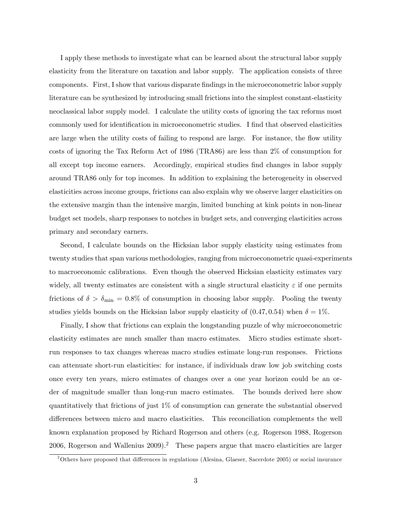I apply these methods to investigate what can be learned about the structural labor supply elasticity from the literature on taxation and labor supply. The application consists of three components. First, I show that various disparate findings in the microeconometric labor supply literature can be synthesized by introducing small frictions into the simplest constant-elasticity neoclassical labor supply model. I calculate the utility costs of ignoring the tax reforms most commonly used for identification in microeconometric studies. I find that observed elasticities are large when the utility costs of failing to respond are large. For instance, the flow utility costs of ignoring the Tax Reform Act of 1986 (TRA86) are less than 2% of consumption for all except top income earners. Accordingly, empirical studies Önd changes in labor supply around TRA86 only for top incomes. In addition to explaining the heterogeneity in observed elasticities across income groups, frictions can also explain why we observe larger elasticities on the extensive margin than the intensive margin, limited bunching at kink points in non-linear budget set models, sharp responses to notches in budget sets, and converging elasticities across primary and secondary earners.

Second, I calculate bounds on the Hicksian labor supply elasticity using estimates from twenty studies that span various methodologies, ranging from microeconometric quasi-experiments to macroeconomic calibrations. Even though the observed Hicksian elasticity estimates vary widely, all twenty estimates are consistent with a single structural elasticity  $\varepsilon$  if one permits frictions of  $\delta > \delta_{\min} = 0.8\%$  of consumption in choosing labor supply. Pooling the twenty studies yields bounds on the Hicksian labor supply elasticity of  $(0.47, 0.54)$  when  $\delta = 1\%$ .

Finally, I show that frictions can explain the longstanding puzzle of why microeconometric elasticity estimates are much smaller than macro estimates. Micro studies estimate shortrun responses to tax changes whereas macro studies estimate long-run responses. Frictions can attenuate short-run elasticities: for instance, if individuals draw low job switching costs once every ten years, micro estimates of changes over a one year horizon could be an order of magnitude smaller than long-run macro estimates. The bounds derived here show quantitatively that frictions of just 1% of consumption can generate the substantial observed differences between micro and macro elasticities. This reconciliation complements the well known explanation proposed by Richard Rogerson and others (e.g. Rogerson 1988, Rogerson 2006, Rogerson and Wallenius  $2009$ .<sup>2</sup> These papers argue that macro elasticities are larger

 $2^2$ Others have proposed that differences in regulations (Alesina, Glaeser, Sacerdote 2005) or social insurance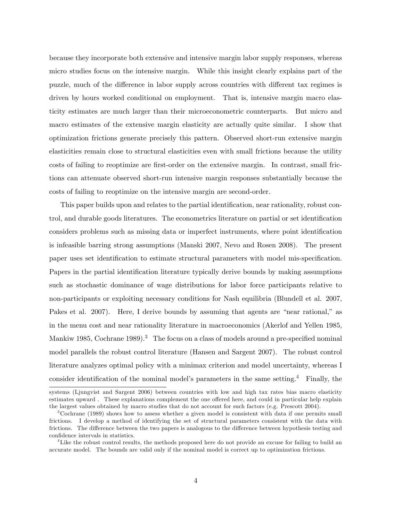because they incorporate both extensive and intensive margin labor supply responses, whereas micro studies focus on the intensive margin. While this insight clearly explains part of the puzzle, much of the difference in labor supply across countries with different tax regimes is driven by hours worked conditional on employment. That is, intensive margin macro elasticity estimates are much larger than their microeconometric counterparts. But micro and macro estimates of the extensive margin elasticity are actually quite similar. I show that optimization frictions generate precisely this pattern. Observed short-run extensive margin elasticities remain close to structural elasticities even with small frictions because the utility costs of failing to reoptimize are Örst-order on the extensive margin. In contrast, small frictions can attenuate observed short-run intensive margin responses substantially because the costs of failing to reoptimize on the intensive margin are second-order.

This paper builds upon and relates to the partial identification, near rationality, robust control, and durable goods literatures. The econometrics literature on partial or set identification considers problems such as missing data or imperfect instruments, where point identification is infeasible barring strong assumptions (Manski 2007, Nevo and Rosen 2008). The present paper uses set identification to estimate structural parameters with model mis-specification. Papers in the partial identification literature typically derive bounds by making assumptions such as stochastic dominance of wage distributions for labor force participants relative to non-participants or exploiting necessary conditions for Nash equilibria (Blundell et al. 2007, Pakes et al.  $2007$ . Here, I derive bounds by assuming that agents are "near rational," as in the menu cost and near rationality literature in macroeconomics (Akerlof and Yellen 1985, Mankiw 1985, Cochrane 1989).<sup>3</sup> The focus on a class of models around a pre-specified nominal model parallels the robust control literature (Hansen and Sargent 2007). The robust control literature analyzes optimal policy with a minimax criterion and model uncertainty, whereas I consider identification of the nominal model's parameters in the same setting.<sup>4</sup> Finally, the

systems (Ljungvist and Sargent 2006) between countries with low and high tax rates bias macro elasticity estimates upward. These explanations complement the one offered here, and could in particular help explain the largest values obtained by macro studies that do not account for such factors (e.g. Prescott 2004).

<sup>3</sup>Cochrane (1989) shows how to assess whether a given model is consistent with data if one permits small frictions. I develop a method of identifying the set of structural parameters consistent with the data with frictions. The difference between the two papers is analogous to the difference between hypothesis testing and confidence intervals in statistics.

<sup>&</sup>lt;sup>4</sup>Like the robust control results, the methods proposed here do not provide an excuse for failing to build an accurate model. The bounds are valid only if the nominal model is correct up to optimization frictions.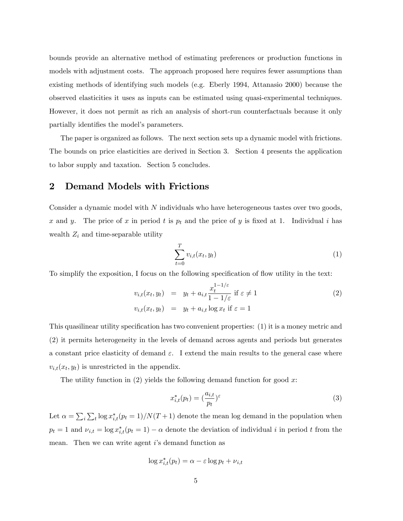bounds provide an alternative method of estimating preferences or production functions in models with adjustment costs. The approach proposed here requires fewer assumptions than existing methods of identifying such models (e.g. Eberly 1994, Attanasio 2000) because the observed elasticities it uses as inputs can be estimated using quasi-experimental techniques. However, it does not permit as rich an analysis of short-run counterfactuals because it only partially identifies the model's parameters.

The paper is organized as follows. The next section sets up a dynamic model with frictions. The bounds on price elasticities are derived in Section 3. Section 4 presents the application to labor supply and taxation. Section 5 concludes.

### 2 Demand Models with Frictions

Consider a dynamic model with  $N$  individuals who have heterogeneous tastes over two goods, x and y. The price of x in period t is  $p_t$  and the price of y is fixed at 1. Individual i has wealth  $Z_i$  and time-separable utility

$$
\sum_{t=0}^{T} v_{i,t}(x_t, y_t) \tag{1}
$$

To simplify the exposition, I focus on the following specification of flow utility in the text:

$$
v_{i,t}(x_t, y_t) = y_t + a_{i,t} \frac{x_t^{1-1/\varepsilon}}{1-1/\varepsilon} \text{ if } \varepsilon \neq 1
$$
  
\n
$$
v_{i,t}(x_t, y_t) = y_t + a_{i,t} \log x_t \text{ if } \varepsilon = 1
$$
\n(2)

This quasilinear utility specification has two convenient properties: (1) it is a money metric and (2) it permits heterogeneity in the levels of demand across agents and periods but generates a constant price elasticity of demand  $\varepsilon$ . I extend the main results to the general case where  $v_{i,t}(x_t, y_t)$  is unrestricted in the appendix.

The utility function in  $(2)$  yields the following demand function for good x:

$$
x_{i,t}^*(p_t) = \left(\frac{a_{i,t}}{p_t}\right)^{\varepsilon} \tag{3}
$$

Let  $\alpha = \sum_i \sum_t \log x_{i,t}^*(p_t = 1)/N(T + 1)$  denote the mean log demand in the population when  $p_t = 1$  and  $\nu_{i,t} = \log x_{i,t}^*(p_t = 1) - \alpha$  denote the deviation of individual i in period t from the mean. Then we can write agent is demand function as

$$
\log x_{i,t}^*(p_t) = \alpha - \varepsilon \log p_t + \nu_{i,t}
$$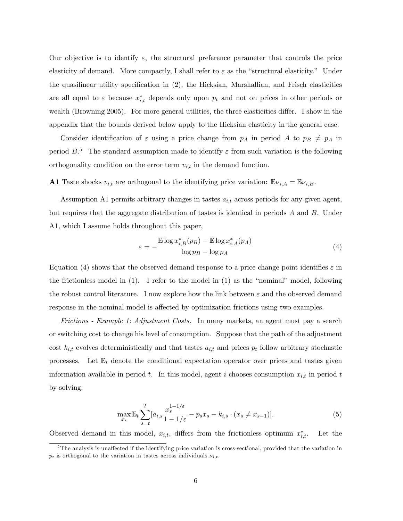Our objective is to identify  $\varepsilon$ , the structural preference parameter that controls the price elasticity of demand. More compactly, I shall refer to  $\varepsilon$  as the "structural elasticity." Under the quasilinear utility specification in (2), the Hicksian, Marshallian, and Frisch elasticities are all equal to  $\varepsilon$  because  $x_{i,t}^*$  depends only upon  $p_t$  and not on prices in other periods or wealth (Browning 2005). For more general utilities, the three elasticities differ. I show in the appendix that the bounds derived below apply to the Hicksian elasticity in the general case.

Consider identification of  $\varepsilon$  using a price change from  $p_A$  in period A to  $p_B \neq p_A$  in period  $B$ <sup>5</sup>. The standard assumption made to identify  $\varepsilon$  from such variation is the following orthogonality condition on the error term  $v_{i,t}$  in the demand function.

**A1** Taste shocks  $v_{i,t}$  are orthogonal to the identifying price variation:  $\mathbb{E}\nu_{i,A} = \mathbb{E}\nu_{i,B}$ .

Assumption A1 permits arbitrary changes in tastes  $a_{i,t}$  across periods for any given agent, but requires that the aggregate distribution of tastes is identical in periods A and B. Under A1, which I assume holds throughout this paper,

$$
\varepsilon = -\frac{\mathbb{E}\log x_{i,B}^*(p_B) - \mathbb{E}\log x_{i,A}^*(p_A)}{\log p_B - \log p_A} \tag{4}
$$

Equation (4) shows that the observed demand response to a price change point identifies  $\varepsilon$  in the frictionless model in  $(1)$ . I refer to the model in  $(1)$  as the "nominal" model, following the robust control literature. I now explore how the link between  $\varepsilon$  and the observed demand response in the nominal model is affected by optimization frictions using two examples.

Frictions - Example 1: Adjustment Costs. In many markets, an agent must pay a search or switching cost to change his level of consumption. Suppose that the path of the adjustment cost  $k_{i,t}$  evolves deterministically and that tastes  $a_{i,t}$  and prices  $p_t$  follow arbitrary stochastic processes. Let  $\mathbb{E}_t$  denote the conditional expectation operator over prices and tastes given information available in period t. In this model, agent i chooses consumption  $x_{i,t}$  in period t by solving:

$$
\max_{x_s} \mathbb{E}_t \sum_{s=t}^T [a_{i,s} \frac{x_s^{1-1/\varepsilon}}{1-1/\varepsilon} - p_s x_s - k_{i,s} \cdot (x_s \neq x_{s-1})]. \tag{5}
$$

Observed demand in this model,  $x_{i,t}$ , differs from the frictionless optimum  $x_i^*$ Let the

 $5$ The analysis is unaffected if the identifying price variation is cross-sectional, provided that the variation in  $p_t$  is orthogonal to the variation in tastes across individuals  $\nu_{i,t}$ .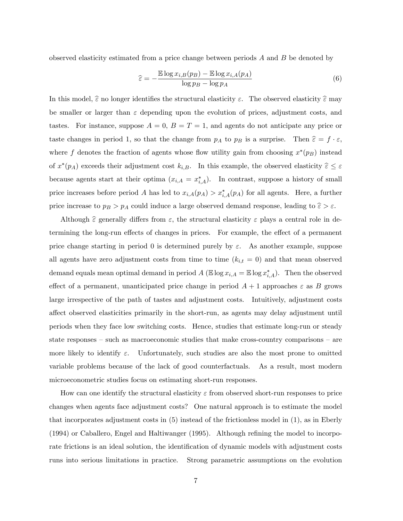observed elasticity estimated from a price change between periods  $A$  and  $B$  be denoted by

$$
\hat{\varepsilon} = -\frac{\mathbb{E}\log x_{i,B}(p_B) - \mathbb{E}\log x_{i,A}(p_A)}{\log p_B - \log p_A} \tag{6}
$$

In this model,  $\hat{\varepsilon}$  no longer identifies the structural elasticity  $\varepsilon$ . The observed elasticity  $\hat{\varepsilon}$  may be smaller or larger than  $\varepsilon$  depending upon the evolution of prices, adjustment costs, and tastes. For instance, suppose  $A = 0$ ,  $B = T = 1$ , and agents do not anticipate any price or taste changes in period 1, so that the change from  $p_A$  to  $p_B$  is a surprise. Then  $\hat{\varepsilon} = f \cdot \varepsilon$ , where f denotes the fraction of agents whose flow utility gain from choosing  $x^*(p_B)$  instead of  $x^*(p_A)$  exceeds their adjustment cost  $k_{i,B}$ . In this example, the observed elasticity  $\hat{\varepsilon} \leq \varepsilon$ because agents start at their optima  $(x_{i,A} = x_{i,A}^*)$ . In contrast, suppose a history of small price increases before period A has led to  $x_{i,A}(p_A) > x_{i,A}^*(p_A)$  for all agents. Here, a further price increase to  $p_B > p_A$  could induce a large observed demand response, leading to  $\hat{\varepsilon} > \varepsilon$ .

Although  $\hat{\varepsilon}$  generally differs from  $\varepsilon$ , the structural elasticity  $\varepsilon$  plays a central role in determining the long-run effects of changes in prices. For example, the effect of a permanent price change starting in period 0 is determined purely by  $\varepsilon$ . As another example, suppose all agents have zero adjustment costs from time to time  $(k_{i,t} = 0)$  and that mean observed demand equals mean optimal demand in period  $A(\mathbb{E} \log x_{i,A} = \mathbb{E} \log x_{i,A}^*)$ . Then the observed effect of a permanent, unanticipated price change in period  $A + 1$  approaches  $\varepsilon$  as B grows large irrespective of the path of tastes and adjustment costs. Intuitively, adjustment costs affect observed elasticities primarily in the short-run, as agents may delay adjustment until periods when they face low switching costs. Hence, studies that estimate long-run or steady state responses  $-$  such as macroeconomic studies that make cross-country comparisons  $-$  are more likely to identify  $\varepsilon$ . Unfortunately, such studies are also the most prone to omitted variable problems because of the lack of good counterfactuals. As a result, most modern microeconometric studies focus on estimating short-run responses.

How can one identify the structural elasticity  $\varepsilon$  from observed short-run responses to price changes when agents face adjustment costs? One natural approach is to estimate the model that incorporates adjustment costs in (5) instead of the frictionless model in (1), as in Eberly  $(1994)$  or Caballero, Engel and Haltiwanger  $(1995)$ . Although refining the model to incorporate frictions is an ideal solution, the identification of dynamic models with adjustment costs runs into serious limitations in practice. Strong parametric assumptions on the evolution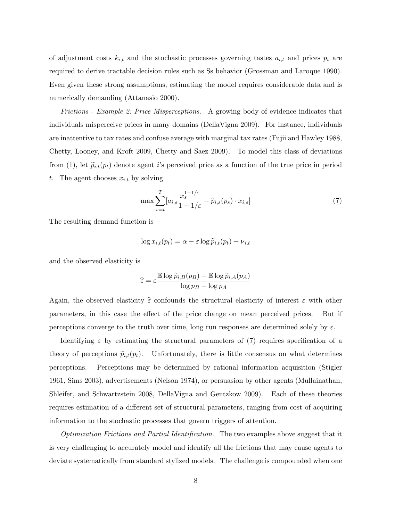of adjustment costs  $k_{i,t}$  and the stochastic processes governing tastes  $a_{i,t}$  and prices  $p_t$  are required to derive tractable decision rules such as Ss behavior (Grossman and Laroque 1990). Even given these strong assumptions, estimating the model requires considerable data and is numerically demanding (Attanasio 2000).

Frictions - Example 2: Price Misperceptions. A growing body of evidence indicates that individuals misperceive prices in many domains (DellaVigna 2009). For instance, individuals are inattentive to tax rates and confuse average with marginal tax rates (Fujii and Hawley 1988, Chetty, Looney, and Kroft 2009, Chetty and Saez 2009). To model this class of deviations from (1), let  $\tilde{p}_{i,t}(p_t)$  denote agent is perceived price as a function of the true price in period t. The agent chooses  $x_{i,t}$  by solving

$$
\max \sum_{s=t}^{T} [a_{i,s} \frac{x_s^{1-1/\varepsilon}}{1-1/\varepsilon} - \widetilde{p}_{i,s}(p_s) \cdot x_{i,s}] \tag{7}
$$

The resulting demand function is

$$
\log x_{i,t}(p_t) = \alpha - \varepsilon \log \widetilde{p}_{i,t}(p_t) + \nu_{i,t}
$$

and the observed elasticity is

$$
\widehat{\varepsilon} = \varepsilon \frac{\mathbb{E} \log \widetilde{p}_{i,B}(p_B) - \mathbb{E} \log \widetilde{p}_{i,A}(p_A)}{\log p_B - \log p_A}
$$

Again, the observed elasticity  $\hat{\epsilon}$  confounds the structural elasticity of interest  $\epsilon$  with other parameters, in this case the effect of the price change on mean perceived prices. But if perceptions converge to the truth over time, long run responses are determined solely by  $\varepsilon$ .

Identifying  $\varepsilon$  by estimating the structural parameters of (7) requires specification of a theory of perceptions  $\tilde{p}_{i,t}(p_t)$ . Unfortunately, there is little consensus on what determines perceptions. Perceptions may be determined by rational information acquisition (Stigler 1961, Sims 2003), advertisements (Nelson 1974), or persuasion by other agents (Mullainathan, Shleifer, and Schwartzstein 2008, DellaVigna and Gentzkow 2009). Each of these theories requires estimation of a different set of structural parameters, ranging from cost of acquiring information to the stochastic processes that govern triggers of attention.

Optimization Frictions and Partial Identification. The two examples above suggest that it is very challenging to accurately model and identify all the frictions that may cause agents to deviate systematically from standard stylized models. The challenge is compounded when one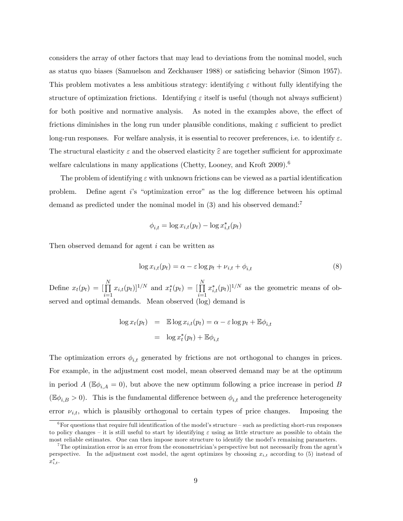considers the array of other factors that may lead to deviations from the nominal model, such as status quo biases (Samuelson and Zeckhauser 1988) or satisficing behavior (Simon 1957). This problem motivates a less ambitious strategy: identifying  $\varepsilon$  without fully identifying the structure of optimization frictions. Identifying  $\varepsilon$  itself is useful (though not always sufficient) for both positive and normative analysis. As noted in the examples above, the effect of frictions diminishes in the long run under plausible conditions, making  $\varepsilon$  sufficient to predict long-run responses. For welfare analysis, it is essential to recover preferences, i.e. to identify  $\varepsilon$ . The structural elasticity  $\varepsilon$  and the observed elasticity  $\hat{\varepsilon}$  are together sufficient for approximate welfare calculations in many applications (Chetty, Looney, and Kroft 2009).<sup>6</sup>

The problem of identifying  $\varepsilon$  with unknown frictions can be viewed as a partial identification problem. Define agent is "optimization error" as the log difference between his optimal demand as predicted under the nominal model in  $(3)$  and his observed demand:<sup>7</sup>

$$
\phi_{i,t} = \log x_{i,t}(p_t) - \log x_{i,t}^*(p_t)
$$

Then observed demand for agent i can be written as

$$
\log x_{i,t}(p_t) = \alpha - \varepsilon \log p_t + \nu_{i,t} + \phi_{i,t} \tag{8}
$$

Define  $x_t(p_t) = \begin{bmatrix} \prod \\ \prod \end{bmatrix}$  $i=1$  $(x_{i,t}(p_t)]^{1/N}$  and  $x_t^*(p_t) = [\prod_{i=1}^N$  $i=1$  $(x_{i,t}^*(p_t))^{1/N}$  as the geometric means of observed and optimal demands. Mean observed (log) demand is

$$
\log x_t(p_t) = \mathbb{E} \log x_{i,t}(p_t) = \alpha - \varepsilon \log p_t + \mathbb{E} \phi_{i,t}
$$

$$
= \log x_t^*(p_t) + \mathbb{E} \phi_{i,t}
$$

The optimization errors  $\phi_{i,t}$  generated by frictions are not orthogonal to changes in prices. For example, in the adjustment cost model, mean observed demand may be at the optimum in period A ( $\mathbb{E}\phi_{i,A} = 0$ ), but above the new optimum following a price increase in period B  $(\mathbb{E}\phi_{i,B} > 0)$ . This is the fundamental difference between  $\phi_{i,t}$  and the preference heterogeneity error  $\nu_{i,t}$ , which is plausibly orthogonal to certain types of price changes. Imposing the

 $6$ For questions that require full identification of the model's structure  $-$  such as predicting short-run responses to policy changes – it is still useful to start by identifying  $\varepsilon$  using as little structure as possible to obtain the most reliable estimates. One can then impose more structure to identify the model's remaining parameters.

 $7$ The optimization error is an error from the econometrician's perspective but not necessarily from the agent's perspective. In the adjustment cost model, the agent optimizes by choosing  $x_{i,t}$  according to (5) instead of  $x_{i,t}^*$ .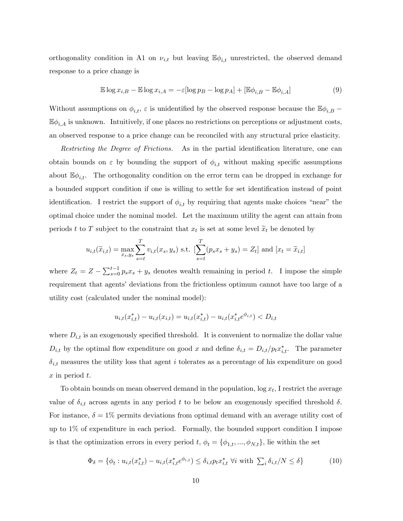orthogonality condition in A1 on  $\nu_{i,t}$  but leaving  $\mathbb{E}\phi_{i,t}$  unrestricted, the observed demand response to a price change is

$$
\mathbb{E}\log x_{i,B} - \mathbb{E}\log x_{i,A} = -\varepsilon[\log p_B - \log p_A] + [\mathbb{E}\phi_{i,B} - \mathbb{E}\phi_{i,A}] \tag{9}
$$

Without assumptions on  $\phi_{i,t}$ ,  $\varepsilon$  is unidentified by the observed response because the  $\mathbb{E}\phi_{i,B}$  –  $\mathbb{E}\phi_{i,A}$  is unknown. Intuitively, if one places no restrictions on perceptions or adjustment costs, an observed response to a price change can be reconciled with any structural price elasticity.

Restricting the Degree of Frictions. As in the partial identification literature, one can obtain bounds on  $\varepsilon$  by bounding the support of  $\phi_{i,t}$  without making specific assumptions about  $\mathbb{E}\phi_{i,t}$ . The orthogonality condition on the error term can be dropped in exchange for a bounded support condition if one is willing to settle for set identification instead of point identification. I restrict the support of  $\phi_{i,t}$  by requiring that agents make choices "near" the optimal choice under the nominal model. Let the maximum utility the agent can attain from periods t to T subject to the constraint that  $x_t$  is set at some level  $\tilde{x}_t$  be denoted by

$$
u_{i,t}(\tilde{x}_{i,t}) = \max_{x_s, y_s} \sum_{s=t}^{T} v_{i,t}(x_s, y_s) \text{ s.t. } [\sum_{s=t}^{T} (p_s x_s + y_s) = Z_t] \text{ and } [x_t = \tilde{x}_{i,t}]
$$

where  $Z_t = Z - \sum_{s=0}^{t-1} p_s x_s + y_s$  denotes wealth remaining in period t. I impose the simple requirement that agents' deviations from the frictionless optimum cannot have too large of a utility cost (calculated under the nominal model):

$$
u_{i,t}(x_{i,t}^*) - u_{i,t}(x_{i,t}) = u_{i,t}(x_{i,t}^*) - u_{i,t}(x_{i,t}^*e^{\phi_{i,t}}) < D_{i,t}
$$

where  $D_{i,t}$  is an exogenously specified threshold. It is convenient to normalize the dollar value  $D_{i,t}$  by the optimal flow expenditure on good x and define  $\delta_{i,t} = D_{i,t}/p_t x_{i,t}^*$ . The parameter  $\delta_{i,t}$  measures the utility loss that agent i tolerates as a percentage of his expenditure on good x in period t.

To obtain bounds on mean observed demand in the population,  $\log x_t$ , I restrict the average value of  $\delta_{i,t}$  across agents in any period t to be below an exogenously specified threshold  $\delta$ . For instance,  $\delta = 1\%$  permits deviations from optimal demand with an average utility cost of up to 1% of expenditure in each period. Formally, the bounded support condition I impose is that the optimization errors in every period t,  $\phi_t = {\phi_{1,t}, ..., \phi_{N,t}}$ , lie within the set

$$
\Phi_{\delta} = \{ \phi_t : u_{i,t}(x_{i,t}^*) - u_{i,t}(x_{i,t}^* e^{\phi_{i,t}}) \le \delta_{i,t} p_t x_{i,t}^* \ \forall i \text{ with } \sum_i \delta_{i,t}/N \le \delta \}
$$
\n
$$
(10)
$$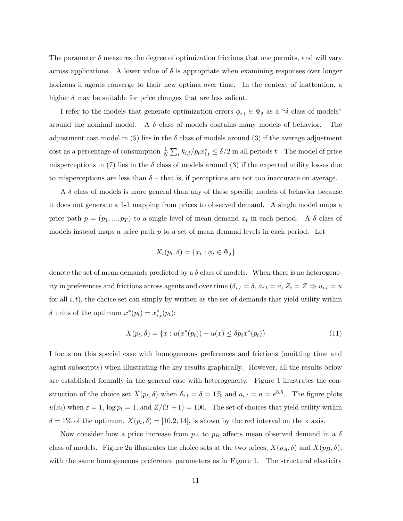The parameter  $\delta$  measures the degree of optimization frictions that one permits, and will vary across applications. A lower value of  $\delta$  is appropriate when examining responses over longer horizons if agents converge to their new optima over time. In the context of inattention, a higher  $\delta$  may be suitable for price changes that are less salient.

I refer to the models that generate optimization errors  $\phi_{i,t} \in \Phi_{\delta}$  as a " $\delta$  class of models" around the nominal model. A  $\delta$  class of models contains many models of behavior. The adjustment cost model in (5) lies in the  $\delta$  class of models around (3) if the average adjustment cost as a percentage of consumption  $\frac{1}{N} \sum_i k_{i,t} / p_t x_{i,t}^* \le \delta/2$  in all periods t. The model of price misperceptions in (7) lies in the  $\delta$  class of models around (3) if the expected utility losses due to misperceptions are less than  $\delta$  – that is, if perceptions are not too inaccurate on average.

A  $\delta$  class of models is more general than any of these specific models of behavior because it does not generate a 1-1 mapping from prices to observed demand. A single model maps a price path  $p = (p_1, ..., p_T)$  to a single level of mean demand  $x_t$  in each period. A  $\delta$  class of models instead maps a price path  $p$  to a set of mean demand levels in each period. Let

$$
X_t(p_t, \delta) = \{x_t : \phi_t \in \Phi_\delta\}
$$

denote the set of mean demands predicted by a  $\delta$  class of models. When there is no heterogeneity in preferences and frictions across agents and over time  $(\delta_{i,t} = \delta, a_{i,t} = a, Z_i = Z \Rightarrow u_{i,t} = u$ for all  $i, t$ ), the choice set can simply by written as the set of demands that yield utility within  $\delta$  units of the optimum  $x^*(p_t) = x^*_{i,t}(p_t)$ :

$$
X(p_t, \delta) = \{x : u(x^*(p_t)) - u(x) \le \delta p_t x^*(p_t)\}\tag{11}
$$

I focus on this special case with homogeneous preferences and frictions (omitting time and agent subscripts) when illustrating the key results graphically. However, all the results below are established formally in the general case with heterogeneity. Figure 1 illustrates the construction of the choice set  $X(p_t, \delta)$  when  $\delta_{i,t} = \delta = 1\%$  and  $a_{i,t} = a = e^{3.5}$ . The figure plots  $u(x_t)$  when  $\varepsilon = 1$ ,  $\log p_t = 1$ , and  $Z/(T + 1) = 100$ . The set of choices that yield utility within  $\delta = 1\%$  of the optimum,  $X(p_t, \delta) = [10.2, 14]$ , is shown by the red interval on the x axis.

Now consider how a price increase from  $p_A$  to  $p_B$  affects mean observed demand in a  $\delta$ class of models. Figure 2a illustrates the choice sets at the two prices,  $X(p_A, \delta)$  and  $X(p_B, \delta)$ , with the same homogeneous preference parameters as in Figure 1. The structural elasticity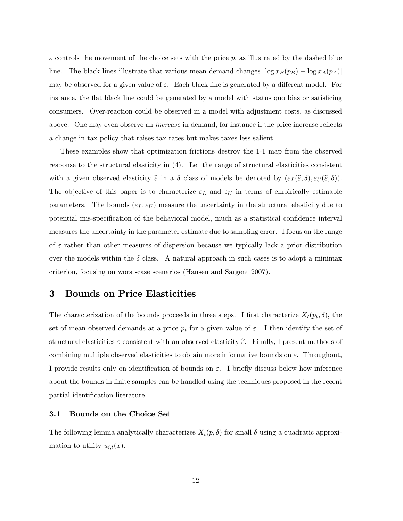$\varepsilon$  controls the movement of the choice sets with the price p, as illustrated by the dashed blue line. The black lines illustrate that various mean demand changes  $[\log x_B(p_B) - \log x_A(p_A)]$ may be observed for a given value of  $\varepsilon$ . Each black line is generated by a different model. For instance, the flat black line could be generated by a model with status quo bias or satisficing consumers. Over-reaction could be observed in a model with adjustment costs, as discussed above. One may even observe an *increase* in demand, for instance if the price increase reflects a change in tax policy that raises tax rates but makes taxes less salient.

These examples show that optimization frictions destroy the 1-1 map from the observed response to the structural elasticity in (4). Let the range of structural elasticities consistent with a given observed elasticity  $\hat{\varepsilon}$  in a  $\delta$  class of models be denoted by  $(\varepsilon_L(\hat{\varepsilon}, \delta), \varepsilon_U(\hat{\varepsilon}, \delta)).$ The objective of this paper is to characterize  $\varepsilon_L$  and  $\varepsilon_U$  in terms of empirically estimable parameters. The bounds  $(\varepsilon_L, \varepsilon_U)$  measure the uncertainty in the structural elasticity due to potential mis-specification of the behavioral model, much as a statistical confidence interval measures the uncertainty in the parameter estimate due to sampling error. I focus on the range of  $\varepsilon$  rather than other measures of dispersion because we typically lack a prior distribution over the models within the  $\delta$  class. A natural approach in such cases is to adopt a minimax criterion, focusing on worst-case scenarios (Hansen and Sargent 2007).

## 3 Bounds on Price Elasticities

The characterization of the bounds proceeds in three steps. I first characterize  $X_t(p_t, \delta)$ , the set of mean observed demands at a price  $p_t$  for a given value of  $\varepsilon$ . I then identify the set of structural elasticities  $\varepsilon$  consistent with an observed elasticity  $\widehat{\varepsilon}$ . Finally, I present methods of combining multiple observed elasticities to obtain more informative bounds on  $\varepsilon$ . Throughout, I provide results only on identification of bounds on  $\varepsilon$ . I briefly discuss below how inference about the bounds in finite samples can be handled using the techniques proposed in the recent partial identification literature.

### 3.1 Bounds on the Choice Set

The following lemma analytically characterizes  $X_t(p, \delta)$  for small  $\delta$  using a quadratic approximation to utility  $u_{i,t}(x)$ .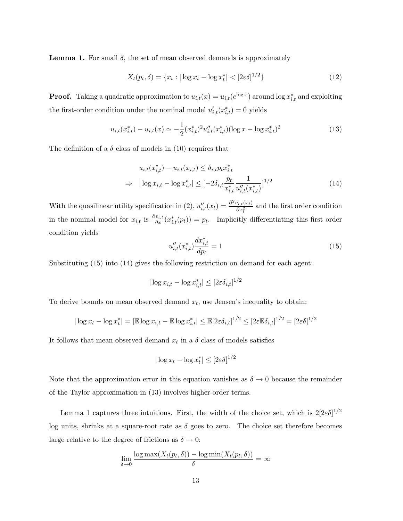**Lemma 1.** For small  $\delta$ , the set of mean observed demands is approximately

$$
X_t(p_t, \delta) = \{x_t : |\log x_t - \log x_t^*| < [2\varepsilon \delta]^{1/2}\}\tag{12}
$$

**Proof.** Taking a quadratic approximation to  $u_{i,t}(x) = u_{i,t}(e^{\log x})$  around  $\log x_{i,t}^*$  and exploiting the first-order condition under the nominal model  $u'_{i,t}(x^*_{i,t}) = 0$  yields

$$
u_{i,t}(x_{i,t}^*) - u_{i,t}(x) \simeq -\frac{1}{2} (x_{i,t}^*)^2 u_{i,t}''(x_{i,t}^*) (\log x - \log x_{i,t}^*)^2
$$
\n(13)

The definition of a  $\delta$  class of models in (10) requires that

$$
u_{i,t}(x_{i,t}^*) - u_{i,t}(x_{i,t}) \le \delta_{i,t} p_t x_{i,t}^*
$$
  
\n
$$
\Rightarrow |\log x_{i,t} - \log x_{i,t}^*| \le [-2\delta_{i,t} \frac{p_t}{x_{i,t}^*} \frac{1}{u_{i,t}''(x_{i,t}^*)}]^{1/2}
$$
\n(14)

With the quasilinear utility specification in (2),  $u''_{i,t}(x_t) = \frac{\partial^2 v_{i,t}(x_t)}{\partial x_t^2}$  $\frac{\partial i_i t(\mathbf{x}_t)}{\partial x_t^2}$  and the first order condition in the nominal model for  $x_{i,t}$  is  $\frac{\partial v_{i,t}}{\partial x}(x_{i,t}^*(p_t)) = p_t$ . Implicitly differentiating this first order condition yields

$$
u''_{i,t}(x^*_{i,t})\frac{dx^*_{i,t}}{dp_t} = 1\tag{15}
$$

Substituting (15) into (14) gives the following restriction on demand for each agent:

$$
|\log x_{i,t} - \log x_{i,t}^*| \le [2\varepsilon \delta_{i,t}]^{1/2}
$$

To derive bounds on mean observed demand  $x_t$ , use Jensen's inequality to obtain:

$$
|\log x_t - \log x_t^*| = |\mathbb{E} \log x_{i,t} - \mathbb{E} \log x_{i,t}^*| \le \mathbb{E} [2\varepsilon \delta_{i,t}]^{1/2} \le [2\varepsilon \mathbb{E} \delta_{i,t}]^{1/2} = [2\varepsilon \delta]^{1/2}
$$

It follows that mean observed demand  $x_t$  in a  $\delta$  class of models satisfies

$$
|\log x_t - \log x_t^*| \le [2\varepsilon \delta]^{1/2}
$$

Note that the approximation error in this equation vanishes as  $\delta \to 0$  because the remainder of the Taylor approximation in (13) involves higher-order terms.

Lemma 1 captures three intuitions. First, the width of the choice set, which is  $2[2\varepsilon\delta]^{1/2}$ log units, shrinks at a square-root rate as  $\delta$  goes to zero. The choice set therefore becomes large relative to the degree of frictions as  $\delta \to 0$ :

$$
\lim_{\delta \to 0} \frac{\log \max(X_t(p_t, \delta)) - \log \min(X_t(p_t, \delta))}{\delta} = \infty
$$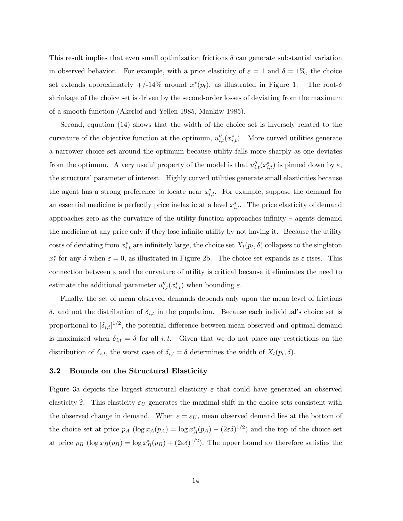This result implies that even small optimization frictions  $\delta$  can generate substantial variation in observed behavior. For example, with a price elasticity of  $\varepsilon = 1$  and  $\delta = 1\%$ , the choice set extends approximately  $+/-14\%$  around  $x^*(p_t)$ , as illustrated in Figure 1. The root- $\delta$ shrinkage of the choice set is driven by the second-order losses of deviating from the maximum of a smooth function (Akerlof and Yellen 1985, Mankiw 1985).

Second, equation (14) shows that the width of the choice set is inversely related to the curvature of the objective function at the optimum,  $u''_{i,t}(x^*_{i,t})$ . More curved utilities generate a narrower choice set around the optimum because utility falls more sharply as one deviates from the optimum. A very useful property of the model is that  $u''_{i,t}(x^*_{i,t})$  is pinned down by  $\varepsilon$ , the structural parameter of interest. Highly curved utilities generate small elasticities because the agent has a strong preference to locate near  $x_{i,t}^*$ . For example, suppose the demand for an essential medicine is perfectly price inelastic at a level  $x_{i,t}^*$ . The price elasticity of demand approaches zero as the curvature of the utility function approaches infinity  $-$  agents demand the medicine at any price only if they lose infinite utility by not having it. Because the utility costs of deviating from  $x_{i,t}^*$  are infinitely large, the choice set  $X_t(p_t, \delta)$  collapses to the singleton  $x_t^*$  for any  $\delta$  when  $\varepsilon = 0$ , as illustrated in Figure 2b. The choice set expands as  $\varepsilon$  rises. This connection between  $\varepsilon$  and the curvature of utility is critical because it eliminates the need to estimate the additional parameter  $u''_{i,t}(x^*_{i,t})$  when bounding  $\varepsilon$ .

Finally, the set of mean observed demands depends only upon the mean level of frictions  $\delta$ , and not the distribution of  $\delta_{i,t}$  in the population. Because each individual's choice set is proportional to  $[\delta_{i,t}]^{1/2}$ , the potential difference between mean observed and optimal demand is maximized when  $\delta_{i,t} = \delta$  for all i, t. Given that we do not place any restrictions on the distribution of  $\delta_{i,t}$ , the worst case of  $\delta_{i,t} = \delta$  determines the width of  $X_t(p_t, \delta)$ .

#### 3.2 Bounds on the Structural Elasticity

Figure 3a depicts the largest structural elasticity  $\varepsilon$  that could have generated an observed elasticity  $\hat{\epsilon}$ . This elasticity  $\epsilon_U$  generates the maximal shift in the choice sets consistent with the observed change in demand. When  $\varepsilon = \varepsilon_U$ , mean observed demand lies at the bottom of the choice set at price  $p_A (\log x_A(p_A) = \log x_A^*(p_A) - (2\varepsilon \delta)^{1/2})$  and the top of the choice set at price  $p_B(\log x_B(p_B) = \log x_B^*(p_B) + (2\varepsilon\delta)^{1/2})$ . The upper bound  $\varepsilon_U$  therefore satisfies the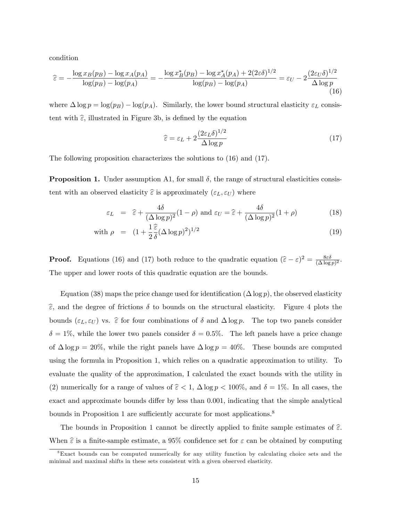condition

$$
\hat{\varepsilon} = -\frac{\log x_B(p_B) - \log x_A(p_A)}{\log(p_B) - \log(p_A)} = -\frac{\log x_B^*(p_B) - \log x_A^*(p_A) + 2(2\varepsilon\delta)^{1/2}}{\log(p_B) - \log(p_A)} = \varepsilon_U - 2\frac{(2\varepsilon_U\delta)^{1/2}}{\Delta\log p} \tag{16}
$$

where  $\Delta \log p = \log(p_B) - \log(p_A)$ . Similarly, the lower bound structural elasticity  $\varepsilon_L$  consistent with  $\hat{\epsilon}$ , illustrated in Figure 3b, is defined by the equation

$$
\hat{\varepsilon} = \varepsilon_L + 2 \frac{(2\varepsilon_L \delta)^{1/2}}{\Delta \log p} \tag{17}
$$

The following proposition characterizes the solutions to (16) and (17).

**Proposition 1.** Under assumption A1, for small  $\delta$ , the range of structural elasticities consistent with an observed elasticity  $\hat{\varepsilon}$  is approximately  $(\varepsilon_L, \varepsilon_U)$  where

$$
\varepsilon_L = \hat{\varepsilon} + \frac{4\delta}{(\Delta \log p)^2} (1 - \rho) \text{ and } \varepsilon_U = \hat{\varepsilon} + \frac{4\delta}{(\Delta \log p)^2} (1 + \rho) \tag{18}
$$

with 
$$
\rho = (1 + \frac{1}{2} \widehat{\delta} (\Delta \log p)^2)^{1/2}
$$
 (19)

**Proof.** Equations (16) and (17) both reduce to the quadratic equation  $(\hat{\varepsilon} - \varepsilon)^2 = \frac{8\varepsilon\delta}{(\Delta \log \varepsilon)^2}$  $\frac{8\varepsilon\delta}{(\Delta\log p)^2}$ . The upper and lower roots of this quadratic equation are the bounds.

Equation (38) maps the price change used for identification  $(\Delta \log p)$ , the observed elasticity  $\hat{\epsilon}$ , and the degree of frictions  $\delta$  to bounds on the structural elasticity. Figure 4 plots the bounds  $(\varepsilon_L, \varepsilon_U)$  vs.  $\hat{\varepsilon}$  for four combinations of  $\delta$  and  $\Delta \log p$ . The top two panels consider  $\delta = 1\%$ , while the lower two panels consider  $\delta = 0.5\%$ . The left panels have a price change of  $\Delta \log p = 20\%$ , while the right panels have  $\Delta \log p = 40\%$ . These bounds are computed using the formula in Proposition 1, which relies on a quadratic approximation to utility. To evaluate the quality of the approximation, I calculated the exact bounds with the utility in (2) numerically for a range of values of  $\hat{\epsilon} < 1$ ,  $\Delta \log p < 100\%$ , and  $\delta = 1\%$ . In all cases, the exact and approximate bounds differ by less than  $0.001$ , indicating that the simple analytical bounds in Proposition 1 are sufficiently accurate for most applications.<sup>8</sup>

The bounds in Proposition 1 cannot be directly applied to finite sample estimates of  $\hat{\epsilon}$ . When  $\hat{\epsilon}$  is a finite-sample estimate, a 95% confidence set for  $\epsilon$  can be obtained by computing

<sup>8</sup>Exact bounds can be computed numerically for any utility function by calculating choice sets and the minimal and maximal shifts in these sets consistent with a given observed elasticity.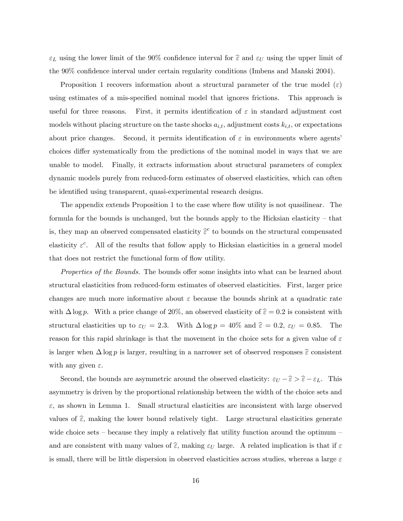$\varepsilon_L$  using the lower limit of the 90% confidence interval for  $\hat{\varepsilon}$  and  $\varepsilon_U$  using the upper limit of the 90% confidence interval under certain regularity conditions (Imbens and Manski 2004).

Proposition 1 recovers information about a structural parameter of the true model  $(\varepsilon)$ using estimates of a mis-specified nominal model that ignores frictions. This approach is useful for three reasons. First, it permits identification of  $\varepsilon$  in standard adjustment cost models without placing structure on the taste shocks  $a_{i,t}$ , adjustment costs  $k_{i,t}$ , or expectations about price changes. Second, it permits identification of  $\varepsilon$  in environments where agents choices differ systematically from the predictions of the nominal model in ways that we are unable to model. Finally, it extracts information about structural parameters of complex dynamic models purely from reduced-form estimates of observed elasticities, which can often be identified using transparent, quasi-experimental research designs.

The appendix extends Proposition 1 to the case where flow utility is not quasilinear. The formula for the bounds is unchanged, but the bounds apply to the Hicksian elasticity  $-$  that is, they map an observed compensated elasticity  $\hat{\varepsilon}^c$  to bounds on the structural compensated elasticity  $\varepsilon^c$ . All of the results that follow apply to Hicksian elasticities in a general model that does not restrict the functional form of flow utility.

*Properties of the Bounds.* The bounds offer some insights into what can be learned about structural elasticities from reduced-form estimates of observed elasticities. First, larger price changes are much more informative about  $\varepsilon$  because the bounds shrink at a quadratic rate with  $\Delta \log p$ . With a price change of 20%, an observed elasticity of  $\hat{\epsilon} = 0.2$  is consistent with structural elasticities up to  $\varepsilon_U = 2.3$ . With  $\Delta \log p = 40\%$  and  $\hat{\varepsilon} = 0.2$ ,  $\varepsilon_U = 0.85$ . The reason for this rapid shrinkage is that the movement in the choice sets for a given value of  $\varepsilon$ is larger when  $\Delta \log p$  is larger, resulting in a narrower set of observed responses  $\hat{\varepsilon}$  consistent with any given  $\varepsilon$ .

Second, the bounds are asymmetric around the observed elasticity:  $\varepsilon_U - \hat{\varepsilon} > \hat{\varepsilon} - \varepsilon_L$ . This asymmetry is driven by the proportional relationship between the width of the choice sets and  $\varepsilon$ , as shown in Lemma 1. Small structural elasticities are inconsistent with large observed values of  $\widehat{\epsilon}$ , making the lower bound relatively tight. Large structural elasticities generate wide choice sets – because they imply a relatively flat utility function around the optimum – and are consistent with many values of  $\widehat{\epsilon}$ , making  $\varepsilon_U$  large. A related implication is that if  $\varepsilon$ is small, there will be little dispersion in observed elasticities across studies, whereas a large  $\varepsilon$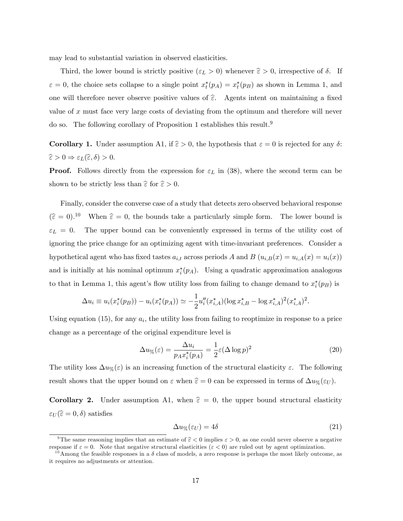may lead to substantial variation in observed elasticities.

Third, the lower bound is strictly positive  $(\varepsilon_L > 0)$  whenever  $\hat{\varepsilon} > 0$ , irrespective of  $\delta$ . If  $\varepsilon = 0$ , the choice sets collapse to a single point  $x_t^*(p_A) = x_t^*(p_B)$  as shown in Lemma 1, and one will therefore never observe positive values of  $\hat{\epsilon}$ . Agents intent on maintaining a fixed value of  $x$  must face very large costs of deviating from the optimum and therefore will never do so. The following corollary of Proposition 1 establishes this result.<sup>9</sup>

**Corollary 1.** Under assumption A1, if  $\hat{\epsilon} > 0$ , the hypothesis that  $\epsilon = 0$  is rejected for any  $\delta$ :  $\widehat{\varepsilon} > 0 \Rightarrow \varepsilon_L(\widehat{\varepsilon}, \delta) > 0.$ 

**Proof.** Follows directly from the expression for  $\varepsilon_L$  in (38), where the second term can be shown to be strictly less than  $\hat{\varepsilon}$  for  $\hat{\varepsilon} > 0$ .

Finally, consider the converse case of a study that detects zero observed behavioral response  $(\hat{\epsilon} = 0)^{10}$  When  $\hat{\epsilon} = 0$ , the bounds take a particularly simple form. The lower bound is  $\varepsilon_L = 0$ . The upper bound can be conveniently expressed in terms of the utility cost of ignoring the price change for an optimizing agent with time-invariant preferences. Consider a hypothetical agent who has fixed tastes  $a_{i,t}$  across periods A and B  $(u_{i,B}(x) = u_{i,A}(x) = u_i(x))$ and is initially at his nominal optimum  $x_i^*(p_A)$ . Using a quadratic approximation analogous to that in Lemma 1, this agent's flow utility loss from failing to change demand to  $x_i^*(p_B)$  is

$$
\Delta u_i \equiv u_i(x_i^*(p_B)) - u_i(x_i^*(p_A)) \simeq -\frac{1}{2}u_i''(x_{i,A}^*)(\log x_{i,B}^* - \log x_{i,A}^*)^2(x_{i,A}^*)^2.
$$

Using equation  $(15)$ , for any  $a_i$ , the utility loss from failing to reoptimize in response to a price change as a percentage of the original expenditure level is

$$
\Delta u_{\%}(\varepsilon) = \frac{\Delta u_i}{p_A x_i^*(p_A)} = \frac{1}{2} \varepsilon (\Delta \log p)^2 \tag{20}
$$

The utility loss  $\Delta u_{\%}(\varepsilon)$  is an increasing function of the structural elasticity  $\varepsilon$ . The following result shows that the upper bound on  $\varepsilon$  when  $\hat{\varepsilon} = 0$  can be expressed in terms of  $\Delta u_{\%}(\varepsilon_U)$ .

**Corollary 2.** Under assumption A1, when  $\hat{\epsilon} = 0$ , the upper bound structural elasticity  $\varepsilon_U(\widehat{\varepsilon} = 0, \delta)$  satisfies

$$
\Delta u_{\%}(\varepsilon_U) = 4\delta \tag{21}
$$

<sup>&</sup>lt;sup>9</sup>The same reasoning implies that an estimate of  $\hat{\epsilon} < 0$  implies  $\epsilon > 0$ , as one could never observe a negative response if  $\varepsilon = 0$ . Note that negative structural elasticities  $(\varepsilon < 0)$  are ruled out by agent optimization.

<sup>&</sup>lt;sup>10</sup>Among the feasible responses in a  $\delta$  class of models, a zero response is perhaps the most likely outcome, as it requires no adjustments or attention.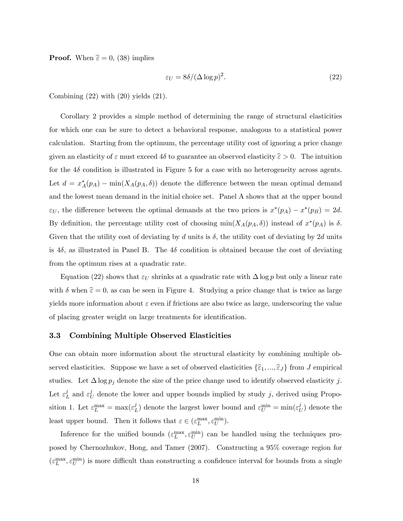**Proof.** When  $\hat{\epsilon} = 0$ , (38) implies

$$
\varepsilon_U = 8\delta / (\Delta \log p)^2. \tag{22}
$$

Combining  $(22)$  with  $(20)$  yields  $(21)$ .

Corollary 2 provides a simple method of determining the range of structural elasticities for which one can be sure to detect a behavioral response, analogous to a statistical power calculation. Starting from the optimum, the percentage utility cost of ignoring a price change given an elasticity of  $\varepsilon$  must exceed 4 $\delta$  to guarantee an observed elasticity  $\hat{\varepsilon} > 0$ . The intuition for the  $4\delta$  condition is illustrated in Figure 5 for a case with no heterogeneity across agents. Let  $d = x_A^*(p_A) - \min(X_A(p_A, \delta))$  denote the difference between the mean optimal demand and the lowest mean demand in the initial choice set. Panel A shows that at the upper bound  $\varepsilon_U$ , the difference between the optimal demands at the two prices is  $x^*(p_A) - x^*(p_B) = 2d$ . By definition, the percentage utility cost of choosing  $\min(X_A(p_A, \delta))$  instead of  $x^*(p_A)$  is  $\delta$ . Given that the utility cost of deviating by d units is  $\delta$ , the utility cost of deviating by 2d units is 4 $\delta$ , as illustrated in Panel B. The 4 $\delta$  condition is obtained because the cost of deviating from the optimum rises at a quadratic rate.

Equation (22) shows that  $\varepsilon_U$  shrinks at a quadratic rate with  $\Delta \log p$  but only a linear rate with  $\delta$  when  $\hat{\epsilon} = 0$ , as can be seen in Figure 4. Studying a price change that is twice as large yields more information about  $\varepsilon$  even if frictions are also twice as large, underscoring the value of placing greater weight on large treatments for identification.

### 3.3 Combining Multiple Observed Elasticities

One can obtain more information about the structural elasticity by combining multiple observed elasticities. Suppose we have a set of observed elasticities  $\{\hat{\varepsilon}_1, ..., \hat{\varepsilon}_J\}$  from J empirical studies. Let  $\Delta \log p_j$  denote the size of the price change used to identify observed elasticity j. Let  $\varepsilon^j_I$  $_{L}^{j}$  and  $\varepsilon_{l}^{j}$  $U<sub>U</sub>$  denote the lower and upper bounds implied by study j, derived using Proposition 1. Let  $\varepsilon_L^{\max} = \max(\varepsilon_I^j)$  $L_L^j$ ) denote the largest lower bound and  $\varepsilon_L^{\text{min}} = \min(\varepsilon_L^j)$  $U^{J}_{U}$  denote the least upper bound. Then it follows that  $\varepsilon \in (\varepsilon_L^{\max}, \varepsilon_U^{\min}).$ 

Inference for the unified bounds  $(\varepsilon_L^{\max}, \varepsilon_U^{\min})$  can be handled using the techniques proposed by Chernozhukov, Hong, and Tamer (2007). Constructing a 95% coverage region for  $(\varepsilon_L^{\text{max}}, \varepsilon_U^{\text{min}})$  is more difficult than constructing a confidence interval for bounds from a single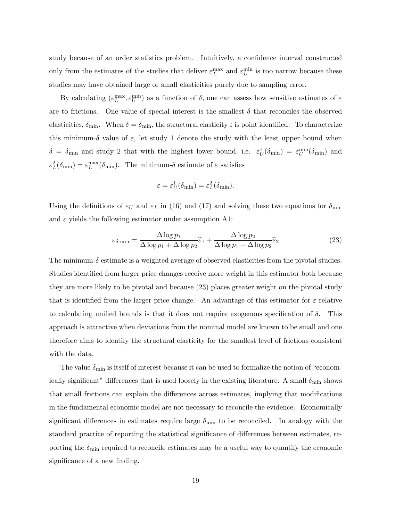study because of an order statistics problem. Intuitively, a confidence interval constructed only from the estimates of the studies that deliver  $\varepsilon_L^{\text{max}}$  and  $\varepsilon_L^{\text{min}}$  is too narrow because these studies may have obtained large or small elasticities purely due to sampling error.

By calculating  $(\varepsilon_L^{\max}, \varepsilon_U^{\min})$  as a function of  $\delta$ , one can assess how sensitive estimates of  $\varepsilon$ are to frictions. One value of special interest is the smallest  $\delta$  that reconciles the observed elasticities,  $\delta_{\min}$ . When  $\delta = \delta_{\min}$ , the structural elasticity  $\varepsilon$  is point identified. To characterize this minimum- $\delta$  value of  $\varepsilon$ , let study 1 denote the study with the least upper bound when  $\delta = \delta_{\min}$  and study 2 that with the highest lower bound, i.e.  $\varepsilon_U^1(\delta_{\min}) = \varepsilon_U^{\min}(\delta_{\min})$  and  $\varepsilon_L^2(\delta_{\min}) = \varepsilon_L^{\max}(\delta_{\min}).$  The minimum- $\delta$  estimate of  $\varepsilon$  satisfies

$$
\varepsilon = \varepsilon_U^1(\delta_{\min}) = \varepsilon_L^2(\delta_{\min}).
$$

Using the definitions of  $\varepsilon_U$  and  $\varepsilon_L$  in (16) and (17) and solving these two equations for  $\delta_{\min}$ and  $\varepsilon$  yields the following estimator under assumption A1:

$$
\varepsilon_{\delta-\min} = \frac{\Delta \log p_1}{\Delta \log p_1 + \Delta \log p_2} \hat{\varepsilon}_1 + \frac{\Delta \log p_2}{\Delta \log p_1 + \Delta \log p_2} \hat{\varepsilon}_2 \tag{23}
$$

The minimum- $\delta$  estimate is a weighted average of observed elasticities from the pivotal studies. Studies identified from larger price changes receive more weight in this estimator both because they are more likely to be pivotal and because (23) places greater weight on the pivotal study that is identified from the larger price change. An advantage of this estimator for  $\varepsilon$  relative to calculating unified bounds is that it does not require exogenous specification of  $\delta$ . This approach is attractive when deviations from the nominal model are known to be small and one therefore aims to identify the structural elasticity for the smallest level of frictions consistent with the data.

The value  $\delta_{\min}$  is itself of interest because it can be used to formalize the notion of "economically significant" differences that is used loosely in the existing literature. A small  $\delta_{\min}$  shows that small frictions can explain the differences across estimates, implying that modifications in the fundamental economic model are not necessary to reconcile the evidence. Economically significant differences in estimates require large  $\delta_{\min}$  to be reconciled. In analogy with the standard practice of reporting the statistical significance of differences between estimates, reporting the  $\delta_{\min}$  required to reconcile estimates may be a useful way to quantify the economic significance of a new finding.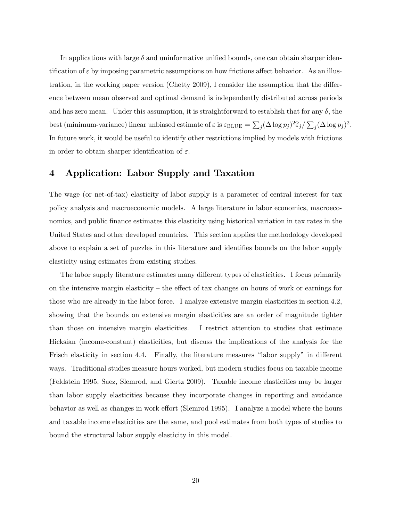In applications with large  $\delta$  and uninformative unified bounds, one can obtain sharper identification of  $\varepsilon$  by imposing parametric assumptions on how frictions affect behavior. As an illustration, in the working paper version (Chetty 2009), I consider the assumption that the difference between mean observed and optimal demand is independently distributed across periods and has zero mean. Under this assumption, it is straightforward to establish that for any  $\delta$ , the best (minimum-variance) linear unbiased estimate of  $\varepsilon$  is  $\varepsilon_{\text{BLUE}} = \sum_j (\Delta \log p_j)^2 \hat{\varepsilon}_j / \sum_j (\Delta \log p_j)^2$ . In future work, it would be useful to identify other restrictions implied by models with frictions in order to obtain sharper identification of  $\varepsilon$ .

# 4 Application: Labor Supply and Taxation

The wage (or net-of-tax) elasticity of labor supply is a parameter of central interest for tax policy analysis and macroeconomic models. A large literature in labor economics, macroeconomics, and public finance estimates this elasticity using historical variation in tax rates in the United States and other developed countries. This section applies the methodology developed above to explain a set of puzzles in this literature and identifies bounds on the labor supply elasticity using estimates from existing studies.

The labor supply literature estimates many different types of elasticities. I focus primarily on the intensive margin elasticity  $-$  the effect of tax changes on hours of work or earnings for those who are already in the labor force. I analyze extensive margin elasticities in section 4.2, showing that the bounds on extensive margin elasticities are an order of magnitude tighter than those on intensive margin elasticities. I restrict attention to studies that estimate Hicksian (income-constant) elasticities, but discuss the implications of the analysis for the Frisch elasticity in section 4.4. Finally, the literature measures "labor supply" in different ways. Traditional studies measure hours worked, but modern studies focus on taxable income (Feldstein 1995, Saez, Slemrod, and Giertz 2009). Taxable income elasticities may be larger than labor supply elasticities because they incorporate changes in reporting and avoidance behavior as well as changes in work effort (Slemrod 1995). I analyze a model where the hours and taxable income elasticities are the same, and pool estimates from both types of studies to bound the structural labor supply elasticity in this model.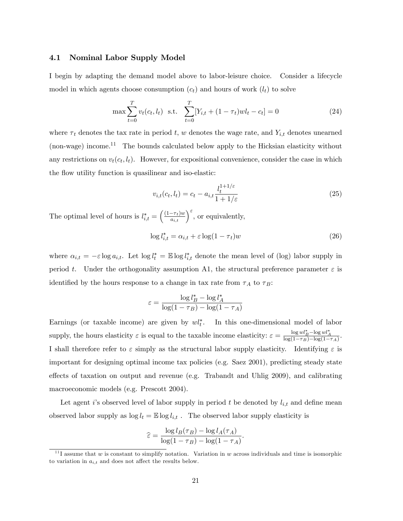### 4.1 Nominal Labor Supply Model

I begin by adapting the demand model above to labor-leisure choice. Consider a lifecycle model in which agents choose consumption  $(c_t)$  and hours of work  $(l_t)$  to solve

$$
\max \sum_{t=0}^{T} v_t(c_t, l_t) \text{ s.t. } \sum_{t=0}^{T} [Y_{i,t} + (1 - \tau_t)wl_t - c_t] = 0 \tag{24}
$$

where  $\tau_t$  denotes the tax rate in period t, w denotes the wage rate, and  $Y_{i,t}$  denotes unearned (non-wage) income.<sup>11</sup> The bounds calculated below apply to the Hicksian elasticity without any restrictions on  $v_t(c_t, l_t)$ . However, for expositional convenience, consider the case in which the flow utility function is quasilinear and iso-elastic:

$$
v_{i,t}(c_t, l_t) = c_t - a_{i,t} \frac{l_t^{1+1/\varepsilon}}{1+1/\varepsilon}
$$
\n(25)

The optimal level of hours is  $l_{i,t}^* = \left(\frac{(1-\tau_t)w}{a_{i,t}}\right)^{\varepsilon}$ , or equivalently,

$$
\log l_{i,t}^* = \alpha_{i,t} + \varepsilon \log(1 - \tau_t) w \tag{26}
$$

where  $\alpha_{i,t} = -\varepsilon \log a_{i,t}$ . Let  $\log l_t^* = \mathbb{E} \log l_{i,t}^*$  denote the mean level of (log) labor supply in period t. Under the orthogonality assumption A1, the structural preference parameter  $\varepsilon$  is identified by the hours response to a change in tax rate from  $\tau_A$  to  $\tau_B$ :

$$
\varepsilon = \frac{\log l_B^* - \log l_A^*}{\log(1 - \tau_B) - \log(1 - \tau_A)}
$$

Earnings (or taxable income) are given by  $wl_t^*$ . In this one-dimensional model of labor supply, the hours elasticity  $\varepsilon$  is equal to the taxable income elasticity:  $\varepsilon = \frac{\log w l_B^* - \log w l_A^*}{\log(1 - \tau_B) - \log(1 - \tau_A)}$ . I shall therefore refer to  $\varepsilon$  simply as the structural labor supply elasticity. Identifying  $\varepsilon$  is important for designing optimal income tax policies (e.g. Saez 2001), predicting steady state effects of taxation on output and revenue (e.g. Trabandt and Uhlig  $2009$ ), and calibrating macroeconomic models (e.g. Prescott 2004).

Let agent is observed level of labor supply in period t be denoted by  $l_{i,t}$  and define mean observed labor supply as  $\log l_t = \mathbb{E} \log l_{i,t}$ . The observed labor supply elasticity is

$$
\widehat{\varepsilon} = \frac{\log l_B(\tau_B) - \log l_A(\tau_A)}{\log(1 - \tau_B) - \log(1 - \tau_A)}.
$$

<sup>&</sup>lt;sup>11</sup>I assume that w is constant to simplify notation. Variation in w across individuals and time is isomorphic to variation in  $a_{i,t}$  and does not affect the results below.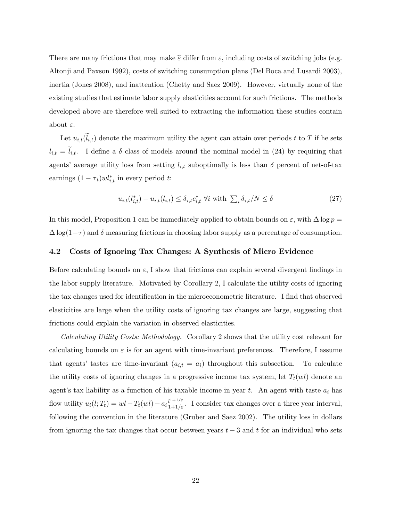There are many frictions that may make  $\hat{\varepsilon}$  differ from  $\varepsilon$ , including costs of switching jobs (e.g. Altonji and Paxson 1992), costs of switching consumption plans (Del Boca and Lusardi 2003), inertia (Jones 2008), and inattention (Chetty and Saez 2009). However, virtually none of the existing studies that estimate labor supply elasticities account for such frictions. The methods developed above are therefore well suited to extracting the information these studies contain about  $\varepsilon$ .

Let  $u_{i,t}(\tilde{l}_{i,t})$  denote the maximum utility the agent can attain over periods t to T if he sets  $l_{i,t} = \tilde{l}_{i,t}$ . I define a  $\delta$  class of models around the nominal model in (24) by requiring that agents' average utility loss from setting  $l_{i,t}$  suboptimally is less than  $\delta$  percent of net-of-tax earnings  $(1 - \tau_t)wl_{i,t}^*$  in every period t:

$$
u_{i,t}(l_{i,t}^*) - u_{i,t}(l_{i,t}) \le \delta_{i,t} c_{i,t}^* \ \forall i \ \text{with} \ \sum_i \delta_{i,t}/N \le \delta \tag{27}
$$

In this model, Proposition 1 can be immediately applied to obtain bounds on  $\varepsilon$ , with  $\Delta \log p =$  $\Delta \log(1-\tau)$  and  $\delta$  measuring frictions in choosing labor supply as a percentage of consumption.

### 4.2 Costs of Ignoring Tax Changes: A Synthesis of Micro Evidence

Before calculating bounds on  $\varepsilon$ , I show that frictions can explain several divergent findings in the labor supply literature. Motivated by Corollary 2, I calculate the utility costs of ignoring the tax changes used for identification in the microeconometric literature. I find that observed elasticities are large when the utility costs of ignoring tax changes are large, suggesting that frictions could explain the variation in observed elasticities.

Calculating Utility Costs: Methodology. Corollary 2 shows that the utility cost relevant for calculating bounds on  $\varepsilon$  is for an agent with time-invariant preferences. Therefore, I assume that agents' tastes are time-invariant  $(a_{i,t} = a_i)$  throughout this subsection. To calculate the utility costs of ignoring changes in a progressive income tax system, let  $T_t(wl)$  denote an agent's tax liability as a function of his taxable income in year t. An agent with taste  $a_i$  has flow utility  $u_i(l; T_t) = w - T_t(wl) - a_i \frac{l^{1+1/\varepsilon}}{1+1/\varepsilon}$ . I consider tax changes over a three year interval, following the convention in the literature (Gruber and Saez 2002). The utility loss in dollars from ignoring the tax changes that occur between years  $t-3$  and t for an individual who sets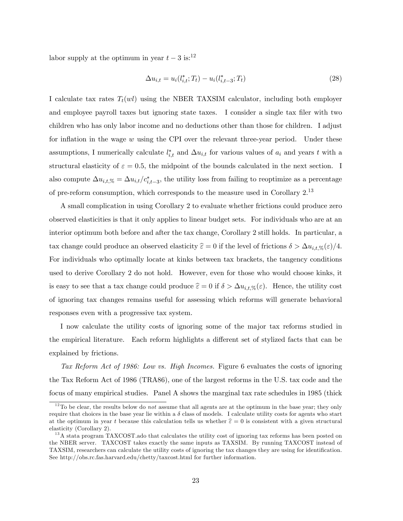labor supply at the optimum in year  $t-3$  is:<sup>12</sup>

$$
\Delta u_{i,t} = u_i(l_{i,t}^*; T_t) - u_i(l_{i,t-3}^*; T_t)
$$
\n(28)

I calculate tax rates  $T_t(w)$  using the NBER TAXSIM calculator, including both employer and employee payroll taxes but ignoring state taxes. I consider a single tax filer with two children who has only labor income and no deductions other than those for children. I adjust for inflation in the wage  $w$  using the CPI over the relevant three-year period. Under these assumptions, I numerically calculate  $l_{i,t}^*$  and  $\Delta u_{i,t}$  for various values of  $a_i$  and years t with a structural elasticity of  $\varepsilon = 0.5$ , the midpoint of the bounds calculated in the next section. I also compute  $\Delta u_{i,t,\%} = \Delta u_{i,t}/c_{i,t-3}^*$ , the utility loss from failing to reoptimize as a percentage of pre-reform consumption, which corresponds to the measure used in Corollary 2.<sup>13</sup>

A small complication in using Corollary 2 to evaluate whether frictions could produce zero observed elasticities is that it only applies to linear budget sets. For individuals who are at an interior optimum both before and after the tax change, Corollary 2 still holds. In particular, a tax change could produce an observed elasticity  $\hat{\varepsilon} = 0$  if the level of frictions  $\delta > \Delta u_{i,t,\%}(\varepsilon)/4$ . For individuals who optimally locate at kinks between tax brackets, the tangency conditions used to derive Corollary 2 do not hold. However, even for those who would choose kinks, it is easy to see that a tax change could produce  $\hat{\epsilon} = 0$  if  $\delta > \Delta u_{i,t,\%}(\epsilon)$ . Hence, the utility cost of ignoring tax changes remains useful for assessing which reforms will generate behavioral responses even with a progressive tax system.

I now calculate the utility costs of ignoring some of the major tax reforms studied in the empirical literature. Each reform highlights a different set of stylized facts that can be explained by frictions.

Tax Reform Act of 1986: Low vs. High Incomes. Figure 6 evaluates the costs of ignoring the Tax Reform Act of 1986 (TRA86), one of the largest reforms in the U.S. tax code and the focus of many empirical studies. Panel A shows the marginal tax rate schedules in 1985 (thick

 $12$ To be clear, the results below do *not* assume that all agents are at the optimum in the base year; they only require that choices in the base year lie within a  $\delta$  class of models. I calculate utility costs for agents who start at the optimum in year t because this calculation tells us whether  $\hat{\epsilon} = 0$  is consistent with a given structural elasticity (Corollary 2).

<sup>&</sup>lt;sup>13</sup>A stata program TAXCOST. ado that calculates the utility cost of ignoring tax reforms has been posted on the NBER server. TAXCOST takes exactly the same inputs as TAXSIM. By running TAXCOST instead of TAXSIM, researchers can calculate the utility costs of ignoring the tax changes they are using for identification. See http://obs.rc.fas.harvard.edu/chetty/taxcost.html for further information.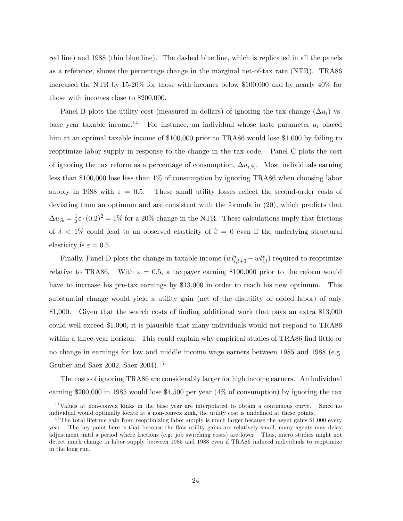red line) and 1988 (thin blue line). The dashed blue line, which is replicated in all the panels as a reference, shows the percentage change in the marginal net-of-tax rate (NTR). TRA86 increased the NTR by 15-20% for those with incomes below \$100,000 and by nearly 40% for those with incomes close to \$200,000.

Panel B plots the utility cost (measured in dollars) of ignoring the tax change  $(\Delta u_i)$  vs. base year taxable income.<sup>14</sup> For instance, an individual whose taste parameter  $a_i$  placed him at an optimal taxable income of \$100,000 prior to TRA86 would lose \$1,000 by failing to reoptimize labor supply in response to the change in the tax code. Panel C plots the cost of ignoring the tax reform as a percentage of consumption,  $\Delta u_{i,\%}$ . Most individuals earning less than \$100,000 lose less than 1% of consumption by ignoring TRA86 when choosing labor supply in 1988 with  $\varepsilon = 0.5$ . These small utility losses reflect the second-order costs of deviating from an optimum and are consistent with the formula in (20), which predicts that  $\Delta u_{\%} = \frac{1}{2}$  $\frac{1}{2}\varepsilon \cdot (0.2)^2 = 1\%$  for a 20% change in the NTR. These calculations imply that frictions of  $\delta$  < 1% could lead to an observed elasticity of  $\hat{\epsilon} = 0$  even if the underlying structural elasticity is  $\varepsilon = 0.5$ .

Finally, Panel D plots the change in taxable income  $(w l_{i,t+3}^* - w l_{i,t}^*)$  required to reoptimize relative to TRA86. With  $\varepsilon = 0.5$ , a taxpayer earning \$100,000 prior to the reform would have to increase his pre-tax earnings by \$13,000 in order to reach his new optimum. This substantial change would yield a utility gain (net of the disutility of added labor) of only \$1,000. Given that the search costs of finding additional work that pays an extra \$13,000 could well exceed \$1,000, it is plausible that many individuals would not respond to TRA86 within a three-year horizon. This could explain why empirical studies of TRA86 find little or no change in earnings for low and middle income wage earners between 1985 and 1988 (e.g. Gruber and Saez 2002, Saez 2004).<sup>15</sup>

The costs of ignoring TRA86 are considerably larger for high income earners. An individual earning \$200,000 in 1985 would lose \$4,500 per year (4% of consumption) by ignoring the tax

<sup>14</sup>Values at non-convex kinks in the base year are interpolated to obtain a continuous curve. Since no individual would optimally locate at a non-convex kink, the utility cost is undefined at these points.

 $15$ The total lifetime gain from reoptimizing labor supply is much larger because the agent gains \$1,000 every year. The key point here is that because the flow utility gains are relatively small, many agents may delay adjustment until a period where frictions (e.g. job switching costs) are lower. Thus, micro studies might not detect much change in labor supply between 1985 and 1988 even if TRA86 induced individuals to reoptimize in the long run.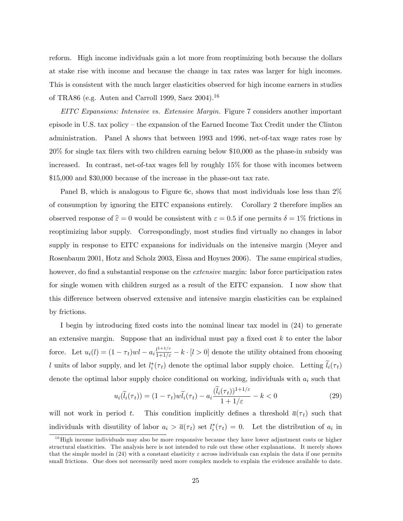reform. High income individuals gain a lot more from reoptimizing both because the dollars at stake rise with income and because the change in tax rates was larger for high incomes. This is consistent with the much larger elasticities observed for high income earners in studies of TRA86 (e.g. Auten and Carroll 1999, Saez 2004).<sup>16</sup>

EITC Expansions: Intensive vs. Extensive Margin. Figure 7 considers another important episode in U.S. tax policy  $-$  the expansion of the Earned Income Tax Credit under the Clinton administration. Panel A shows that between 1993 and 1996, net-of-tax wage rates rose by 20% for single tax Ölers with two children earning below \$10,000 as the phase-in subsidy was increased. In contrast, net-of-tax wages fell by roughly 15% for those with incomes between \$15,000 and \$30,000 because of the increase in the phase-out tax rate.

Panel B, which is analogous to Figure 6c, shows that most individuals lose less than 2% of consumption by ignoring the EITC expansions entirely. Corollary 2 therefore implies an observed response of  $\hat{\epsilon} = 0$  would be consistent with  $\epsilon = 0.5$  if one permits  $\delta = 1\%$  frictions in reoptimizing labor supply. Correspondingly, most studies find virtually no changes in labor supply in response to EITC expansions for individuals on the intensive margin (Meyer and Rosenbaum 2001, Hotz and Scholz 2003, Eissa and Hoynes 2006). The same empirical studies, however, do find a substantial response on the *extensive* margin: labor force participation rates for single women with children surged as a result of the EITC expansion. I now show that this difference between observed extensive and intensive margin elasticities can be explained by frictions.

I begin by introducing fixed costs into the nominal linear tax model in  $(24)$  to generate an extensive margin. Suppose that an individual must pay a fixed cost  $k$  to enter the labor force. Let  $u_i(l) = (1 - \tau_t)wl - a_i \frac{l^{1+1/\varepsilon}}{1+l/\varepsilon} - k \cdot [l > 0]$  denote the utility obtained from choosing l units of labor supply, and let  $l_i^*(\tau_t)$  denote the optimal labor supply choice. Letting  $l_i(\tau_t)$ denote the optimal labor supply choice conditional on working, individuals with  $a_i$  such that

$$
u_i(\tilde{l}_i(\tau_t)) = (1 - \tau_t)w\tilde{l}_i(\tau_t) - a_i \frac{(\tilde{l}_i(\tau_t))^{1+1/\varepsilon}}{1+1/\varepsilon} - k < 0\tag{29}
$$

will not work in period t. This condition implicitly defines a threshold  $\bar{a}(\tau_t)$  such that individuals with disutility of labor  $a_i > \overline{a}(\tau_t)$  set  $l_i^*(\tau_t) = 0$ . Let the distribution of  $a_i$  in

 $16$  High income individuals may also be more responsive because they have lower adjustment costs or higher structural elasticities. The analysis here is not intended to rule out these other explanations. It merely shows that the simple model in  $(24)$  with a constant elasticity  $\varepsilon$  across individuals can explain the data if one permits small frictions. One does not necessarily need more complex models to explain the evidence available to date.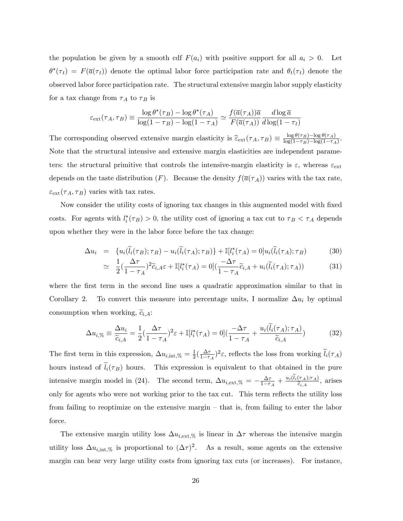the population be given by a smooth cdf  $F(a_i)$  with positive support for all  $a_i > 0$ . Let  $\theta^*(\tau_t) = F(\overline{a}(\tau_t))$  denote the optimal labor force participation rate and  $\theta_t(\tau_t)$  denote the observed labor force participation rate. The structural extensive margin labor supply elasticity for a tax change from  $\tau_A$  to  $\tau_B$  is

$$
\varepsilon_{\text{ext}}(\tau_A, \tau_B) \equiv \frac{\log \theta^*(\tau_B) - \log \theta^*(\tau_A)}{\log(1 - \tau_B) - \log(1 - \tau_A)} \simeq \frac{f(\overline{a}(\tau_A))\overline{a}}{F(\overline{a}(\tau_A))} \frac{d \log \overline{a}}{d \log(1 - \tau_t)}
$$

The corresponding observed extensive margin elasticity is  $\hat{\epsilon}_{ext}(\tau_A, \tau_B) \equiv \frac{\log \theta(\tau_B) - \log \theta(\tau_A)}{\log(1 - \tau_B) - \log(1 - \tau_A)}$  $\frac{\log \sigma(\tau_B)-\log \sigma(\tau_A)}{\log(1-\tau_B)-\log(1-\tau_A)}.$ Note that the structural intensive and extensive margin elasticities are independent parameters: the structural primitive that controls the intensive-margin elasticity is  $\varepsilon$ , whereas  $\varepsilon_{\text{ext}}$ depends on the taste distribution  $(F)$ . Because the density  $f(\overline{a}(\tau_A))$  varies with the tax rate,  $\varepsilon_{\rm ext}(\tau_A, \tau_B)$  varies with tax rates.

Now consider the utility costs of ignoring tax changes in this augmented model with fixed costs. For agents with  $l_i^*(\tau_B) > 0$ , the utility cost of ignoring a tax cut to  $\tau_B < \tau_A$  depends upon whether they were in the labor force before the tax change:

$$
\Delta u_i = \{ u_i(\widetilde{l}_i(\tau_B); \tau_B) - u_i(\widetilde{l}_i(\tau_A); \tau_B) \} + \mathbb{I}[l_i^*(\tau_A) = 0] u_i(\widetilde{l}_i(\tau_A); \tau_B)
$$
(30)

$$
\simeq \frac{1}{2} \left( \frac{\Delta \tau}{1 - \tau_A} \right)^2 \widetilde{c}_{i,A} \varepsilon + \mathbb{I}[l_i^*(\tau_A) = 0] \left( \frac{-\Delta \tau}{1 - \tau_A} \widetilde{c}_{i,A} + u_i(\widetilde{l}_i(\tau_A); \tau_A) \right) \tag{31}
$$

where the first term in the second line uses a quadratic approximation similar to that in Corollary 2. To convert this measure into percentage units, I normalize  $\Delta u_i$  by optimal consumption when working,  $\tilde{c}_{i,A}$ :

$$
\Delta u_{i,\%} \equiv \frac{\Delta u_i}{\widetilde{c}_{i,A}} = \frac{1}{2} \left(\frac{\Delta \tau}{1 - \tau_A}\right)^2 \varepsilon + \mathbb{I}[l_i^*(\tau_A) = 0] \left(\frac{-\Delta \tau}{1 - \tau_A} + \frac{u_i(\widetilde{l}_i(\tau_A); \tau_A)}{\widetilde{c}_{i,A}}\right)
$$
(32)

The first term in this expression,  $\Delta u_{i, \text{int}, \%} = \frac{1}{2}$  $rac{1}{2}(\frac{\Delta \tau}{1-\tau}$  $\frac{\Delta \tau}{1 - \tau_A}$ <sup>2</sup> $\varepsilon$ , reflects the loss from working  $l_i(\tau_A)$ hours instead of  $\tilde{l}_i(\tau_B)$  hours. This expression is equivalent to that obtained in the pure intensive margin model in (24). The second term,  $\Delta u_{i,ext,%} = -\frac{\Delta \tau}{1-\tau}$  $\frac{\Delta \tau}{1-\tau_A} + \frac{u_i(l_i(\tau_A); \tau_A)}{\widetilde{c}_{i,A}}$  $\frac{(A)^{T}A}{\widetilde{c}_{i,A}},$  arises only for agents who were not working prior to the tax cut. This term reflects the utility loss from failing to reoptimize on the extensive margin  $-$  that is, from failing to enter the labor force.

The extensive margin utility loss  $\Delta u_{i,ext,\%}$  is linear in  $\Delta \tau$  whereas the intensive margin utility loss  $\Delta u_{i, \text{int}, \%}$  is proportional to  $(\Delta \tau)^2$ . As a result, some agents on the extensive margin can bear very large utility costs from ignoring tax cuts (or increases). For instance,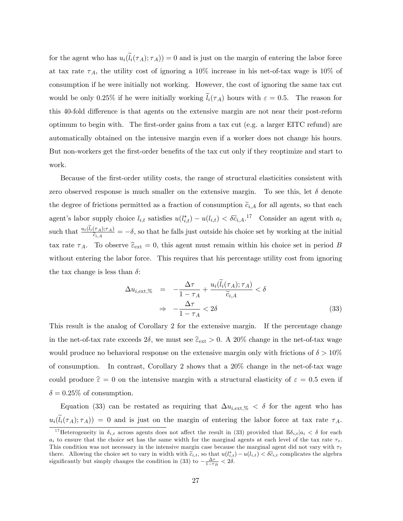for the agent who has  $u_i(l_i(\tau_A); \tau_A)) = 0$  and is just on the margin of entering the labor force at tax rate  $\tau_A$ , the utility cost of ignoring a 10% increase in his net-of-tax wage is 10% of consumption if he were initially not working. However, the cost of ignoring the same tax cut would be only 0.25% if he were initially working  $\tilde{l}_i(\tau_A)$  hours with  $\varepsilon = 0.5$ . The reason for this 40-fold difference is that agents on the extensive margin are not near their post-reform optimum to begin with. The Örst-order gains from a tax cut (e.g. a larger EITC refund) are automatically obtained on the intensive margin even if a worker does not change his hours. But non-workers get the first-order benefits of the tax cut only if they reoptimize and start to work.

Because of the first-order utility costs, the range of structural elasticities consistent with zero observed response is much smaller on the extensive margin. To see this, let  $\delta$  denote the degree of frictions permitted as a fraction of consumption  $\tilde{c}_{i,A}$  for all agents, so that each agent's labor supply choice  $l_{i,t}$  satisfies  $u(l_{i,t}^*) - u(l_{i,t}) < \delta \tilde{c}_{i,A}$ .<sup>17</sup> Consider an agent with  $a_i$ such that  $\frac{u_i(l_i(\tau_A); \tau_A)}{\tilde{c}_{i,A}} = -\delta$ , so that he falls just outside his choice set by working at the initial tax rate  $\tau_A$ . To observe  $\hat{\epsilon}_{ext} = 0$ , this agent must remain within his choice set in period B without entering the labor force. This requires that his percentage utility cost from ignoring the tax change is less than  $\delta$ :

$$
\Delta u_{i, \text{ext}, \%} = -\frac{\Delta \tau}{1 - \tau_A} + \frac{u_i(\tilde{l}_i(\tau_A); \tau_A)}{\tilde{c}_{i, A}} < \delta
$$
\n
$$
\Rightarrow -\frac{\Delta \tau}{1 - \tau_A} < 2\delta \tag{33}
$$

This result is the analog of Corollary 2 for the extensive margin. If the percentage change in the net-of-tax rate exceeds  $2\delta$ , we must see  $\hat{\epsilon}_{ext} > 0$ . A  $20\%$  change in the net-of-tax wage would produce no behavioral response on the extensive margin only with frictions of  $\delta > 10\%$ of consumption. In contrast, Corollary 2 shows that a 20% change in the net-of-tax wage could produce  $\hat{\epsilon} = 0$  on the intensive margin with a structural elasticity of  $\epsilon = 0.5$  even if  $\delta = 0.25\%$  of consumption.

Equation (33) can be restated as requiring that  $\Delta u_{i,ext,%} < \delta$  for the agent who has  $u_i(\tilde{l}_i(\tau_A); \tau_A) = 0$  and is just on the margin of entering the labor force at tax rate  $\tau_A$ .

<sup>&</sup>lt;sup>17</sup>Heterogeneity in  $\delta_{i,t}$  across agents does not affect the result in (33) provided that  $\mathbb{E}\delta_{i,t}|a_i\lt\delta$  for each  $a_i$  to ensure that the choice set has the same width for the marginal agents at each level of the tax rate  $\tau_t$ . This condition was not necessary in the intensive margin case because the marginal agent did not vary with  $\tau_t$ there. Allowing the choice set to vary in width with  $\tilde{c}_{i,t}$ , so that  $u(l_{i,t}^*) - u(l_{i,t}) < \delta \tilde{c}_{i,t}$  complicates the algebra significantly but simply changes the condition in (33) to  $-\frac{\Delta\tau}{1-\tau_B} < 2\delta$ .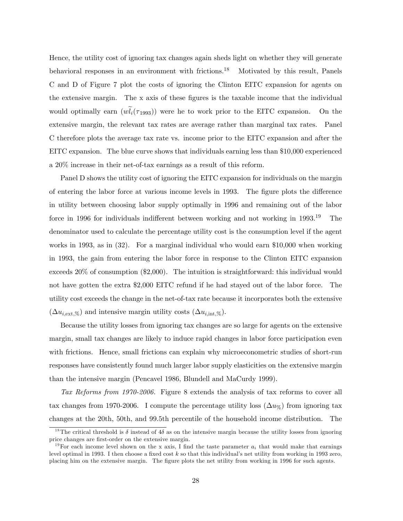Hence, the utility cost of ignoring tax changes again sheds light on whether they will generate behavioral responses in an environment with frictions.<sup>18</sup> Motivated by this result, Panels C and D of Figure 7 plot the costs of ignoring the Clinton EITC expansion for agents on the extensive margin. The x axis of these figures is the taxable income that the individual would optimally earn  $(wl_i(\tau_{1993}))$  were he to work prior to the EITC expansion. On the extensive margin, the relevant tax rates are average rather than marginal tax rates. Panel C therefore plots the average tax rate vs. income prior to the EITC expansion and after the EITC expansion. The blue curve shows that individuals earning less than \$10,000 experienced a 20% increase in their net-of-tax earnings as a result of this reform.

Panel D shows the utility cost of ignoring the EITC expansion for individuals on the margin of entering the labor force at various income levels in 1993. The figure plots the difference in utility between choosing labor supply optimally in 1996 and remaining out of the labor force in 1996 for individuals indifferent between working and not working in  $1993^{19}$  The denominator used to calculate the percentage utility cost is the consumption level if the agent works in 1993, as in (32). For a marginal individual who would earn \$10,000 when working in 1993, the gain from entering the labor force in response to the Clinton EITC expansion exceeds 20% of consumption (\$2,000). The intuition is straightforward: this individual would not have gotten the extra \$2,000 EITC refund if he had stayed out of the labor force. The utility cost exceeds the change in the net-of-tax rate because it incorporates both the extensive  $(\Delta u_{i,ext,\%})$  and intensive margin utility costs  $(\Delta u_{i,int,\%})$ .

Because the utility losses from ignoring tax changes are so large for agents on the extensive margin, small tax changes are likely to induce rapid changes in labor force participation even with frictions. Hence, small frictions can explain why microeconometric studies of short-run responses have consistently found much larger labor supply elasticities on the extensive margin than the intensive margin (Pencavel 1986, Blundell and MaCurdy 1999).

Tax Reforms from 1970-2006. Figure 8 extends the analysis of tax reforms to cover all tax changes from 1970-2006. I compute the percentage utility loss  $(\Delta u_{\%})$  from ignoring tax changes at the 20th, 50th, and 99.5th percentile of the household income distribution. The

<sup>&</sup>lt;sup>18</sup>The critical threshold is  $\delta$  instead of 4 $\delta$  as on the intensive margin because the utility losses from ignoring price changes are Örst-order on the extensive margin.

<sup>&</sup>lt;sup>19</sup>For each income level shown on the x axis, I find the taste parameter  $a_i$  that would make that earnings level optimal in 1993. I then choose a fixed cost  $k$  so that this individual's net utility from working in 1993 zero, placing him on the extensive margin. The Ögure plots the net utility from working in 1996 for such agents.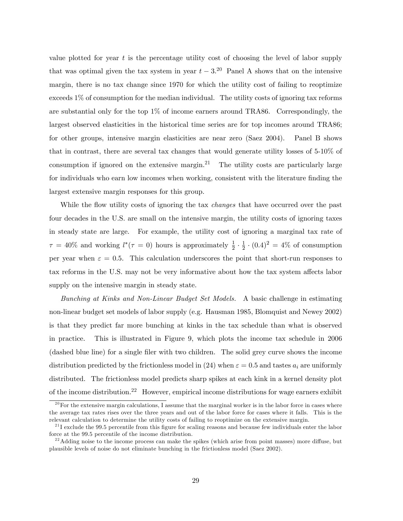value plotted for year  $t$  is the percentage utility cost of choosing the level of labor supply that was optimal given the tax system in year  $t - 3$ .<sup>20</sup> Panel A shows that on the intensive margin, there is no tax change since 1970 for which the utility cost of failing to reoptimize exceeds 1% of consumption for the median individual. The utility costs of ignoring tax reforms are substantial only for the top  $1\%$  of income earners around TRA86. Correspondingly, the largest observed elasticities in the historical time series are for top incomes around TRA86; for other groups, intensive margin elasticities are near zero (Saez 2004). Panel B shows that in contrast, there are several tax changes that would generate utility losses of 5-10% of consumption if ignored on the extensive margin.<sup>21</sup> The utility costs are particularly large for individuals who earn low incomes when working, consistent with the literature finding the largest extensive margin responses for this group.

While the flow utility costs of ignoring the tax *changes* that have occurred over the past four decades in the U.S. are small on the intensive margin, the utility costs of ignoring taxes in steady state are large. For example, the utility cost of ignoring a marginal tax rate of  $\tau = 40\%$  and working  $l^*(\tau = 0)$  hours is approximately  $\frac{1}{2} \cdot \frac{1}{2}$  $\frac{1}{2} \cdot (0.4)^2 = 4\%$  of consumption per year when  $\varepsilon = 0.5$ . This calculation underscores the point that short-run responses to tax reforms in the U.S. may not be very informative about how the tax system affects labor supply on the intensive margin in steady state.

Bunching at Kinks and Non-Linear Budget Set Models. A basic challenge in estimating non-linear budget set models of labor supply (e.g. Hausman 1985, Blomquist and Newey 2002) is that they predict far more bunching at kinks in the tax schedule than what is observed in practice. This is illustrated in Figure 9, which plots the income tax schedule in 2006 (dashed blue line) for a single Öler with two children. The solid grey curve shows the income distribution predicted by the frictionless model in (24) when  $\varepsilon = 0.5$  and tastes  $a_i$  are uniformly distributed. The frictionless model predicts sharp spikes at each kink in a kernel density plot of the income distribution.<sup>22</sup> However, empirical income distributions for wage earners exhibit

 $^{20}$  For the extensive margin calculations, I assume that the marginal worker is in the labor force in cases where the average tax rates rises over the three years and out of the labor force for cases where it falls. This is the relevant calculation to determine the utility costs of failing to reoptimize on the extensive margin.

 $^{21}$ I exclude the 99.5 percentile from this figure for scaling reasons and because few individuals enter the labor force at the 99.5 percentile of the income distribution.

 $^{22}$ Adding noise to the income process can make the spikes (which arise from point masses) more diffuse, but plausible levels of noise do not eliminate bunching in the frictionless model (Saez 2002).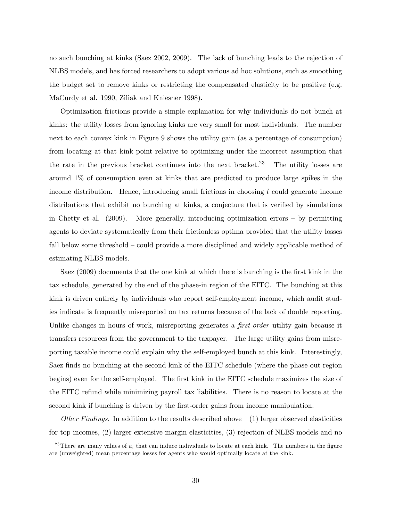no such bunching at kinks (Saez 2002, 2009). The lack of bunching leads to the rejection of NLBS models, and has forced researchers to adopt various ad hoc solutions, such as smoothing the budget set to remove kinks or restricting the compensated elasticity to be positive (e.g. MaCurdy et al. 1990, Ziliak and Kniesner 1998).

Optimization frictions provide a simple explanation for why individuals do not bunch at kinks: the utility losses from ignoring kinks are very small for most individuals. The number next to each convex kink in Figure 9 shows the utility gain (as a percentage of consumption) from locating at that kink point relative to optimizing under the incorrect assumption that the rate in the previous bracket continues into the next bracket.<sup>23</sup> The utility losses are around 1% of consumption even at kinks that are predicted to produce large spikes in the income distribution. Hence, introducing small frictions in choosing  $l$  could generate income distributions that exhibit no bunching at kinks, a conjecture that is verified by simulations in Chetty et al. (2009). More generally, introducing optimization errors  $-$  by permitting agents to deviate systematically from their frictionless optima provided that the utility losses fall below some threshold  $\sim$  could provide a more disciplined and widely applicable method of estimating NLBS models.

Saez (2009) documents that the one kink at which there is bunching is the first kink in the tax schedule, generated by the end of the phase-in region of the EITC. The bunching at this kink is driven entirely by individuals who report self-employment income, which audit studies indicate is frequently misreported on tax returns because of the lack of double reporting. Unlike changes in hours of work, misreporting generates a *first-order* utility gain because it transfers resources from the government to the taxpayer. The large utility gains from misreporting taxable income could explain why the self-employed bunch at this kink. Interestingly, Saez finds no bunching at the second kink of the EITC schedule (where the phase-out region begins) even for the self-employed. The first kink in the EITC schedule maximizes the size of the EITC refund while minimizing payroll tax liabilities. There is no reason to locate at the second kink if bunching is driven by the first-order gains from income manipulation.

Other Findings. In addition to the results described above  $(1)$  larger observed elasticities for top incomes, (2) larger extensive margin elasticities, (3) rejection of NLBS models and no

<sup>&</sup>lt;sup>23</sup>There are many values of  $a_i$  that can induce individuals to locate at each kink. The numbers in the figure are (unweighted) mean percentage losses for agents who would optimally locate at the kink.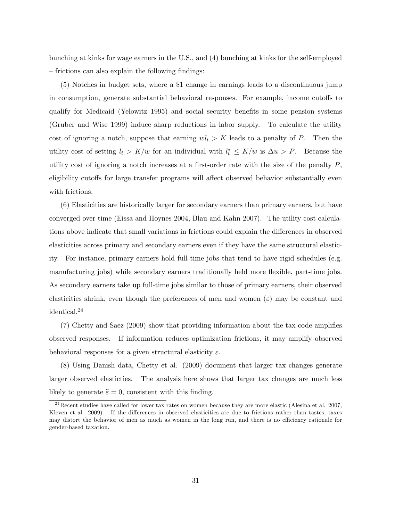bunching at kinks for wage earners in the U.S., and (4) bunching at kinks for the self-employed  $\overline{\phantom{a}}$  frictions can also explain the following findings:

(5) Notches in budget sets, where a \$1 change in earnings leads to a discontinuous jump in consumption, generate substantial behavioral responses. For example, income cutoffs to qualify for Medicaid (Yelowitz 1995) and social security benefits in some pension systems (Gruber and Wise 1999) induce sharp reductions in labor supply. To calculate the utility cost of ignoring a notch, suppose that earning  $wl_t > K$  leads to a penalty of P. Then the utility cost of setting  $l_t > K/w$  for an individual with  $l_t^* \leq K/w$  is  $\Delta u > P$ . Because the utility cost of ignoring a notch increases at a first-order rate with the size of the penalty  $P$ , eligibility cutoffs for large transfer programs will affect observed behavior substantially even with frictions.

(6) Elasticities are historically larger for secondary earners than primary earners, but have converged over time (Eissa and Hoynes 2004, Blau and Kahn 2007). The utility cost calculations above indicate that small variations in frictions could explain the differences in observed elasticities across primary and secondary earners even if they have the same structural elasticity. For instance, primary earners hold full-time jobs that tend to have rigid schedules (e.g. manufacturing jobs) while secondary earners traditionally held more flexible, part-time jobs. As secondary earners take up full-time jobs similar to those of primary earners, their observed elasticities shrink, even though the preferences of men and women  $(\varepsilon)$  may be constant and identical.<sup>24</sup>

 $(7)$  Chetty and Saez  $(2009)$  show that providing information about the tax code amplifies observed responses. If information reduces optimization frictions, it may amplify observed behavioral responses for a given structural elasticity  $\varepsilon$ .

(8) Using Danish data, Chetty et al. (2009) document that larger tax changes generate larger observed elasticties. The analysis here shows that larger tax changes are much less likely to generate  $\hat{\epsilon} = 0$ , consistent with this finding.

 $^{24}$ Recent studies have called for lower tax rates on women because they are more elastic (Alesina et al. 2007, Kleven et al. 2009). If the differences in observed elasticities are due to frictions rather than tastes, taxes may distort the behavior of men as much as women in the long run, and there is no efficiency rationale for gender-based taxation.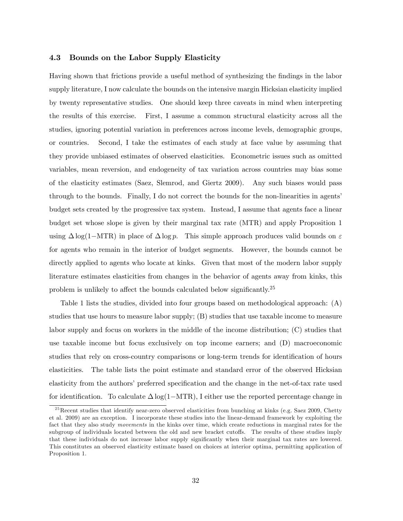### 4.3 Bounds on the Labor Supply Elasticity

Having shown that frictions provide a useful method of synthesizing the Öndings in the labor supply literature, I now calculate the bounds on the intensive margin Hicksian elasticity implied by twenty representative studies. One should keep three caveats in mind when interpreting the results of this exercise. First, I assume a common structural elasticity across all the studies, ignoring potential variation in preferences across income levels, demographic groups, or countries. Second, I take the estimates of each study at face value by assuming that they provide unbiased estimates of observed elasticities. Econometric issues such as omitted variables, mean reversion, and endogeneity of tax variation across countries may bias some of the elasticity estimates (Saez, Slemrod, and Giertz 2009). Any such biases would pass through to the bounds. Finally, I do not correct the bounds for the non-linearities in agents' budget sets created by the progressive tax system. Instead, I assume that agents face a linear budget set whose slope is given by their marginal tax rate (MTR) and apply Proposition 1 using  $\Delta \log(1-\text{MTR})$  in place of  $\Delta \log p$ . This simple approach produces valid bounds on  $\varepsilon$ for agents who remain in the interior of budget segments. However, the bounds cannot be directly applied to agents who locate at kinks. Given that most of the modern labor supply literature estimates elasticities from changes in the behavior of agents away from kinks, this problem is unlikely to affect the bounds calculated below significantly.<sup>25</sup>

Table 1 lists the studies, divided into four groups based on methodological approach: (A) studies that use hours to measure labor supply; (B) studies that use taxable income to measure labor supply and focus on workers in the middle of the income distribution; (C) studies that use taxable income but focus exclusively on top income earners; and (D) macroeconomic studies that rely on cross-country comparisons or long-term trends for identification of hours elasticities. The table lists the point estimate and standard error of the observed Hicksian elasticity from the authors' preferred specification and the change in the net-of-tax rate used for identification. To calculate  $\Delta \log(1-\text{MTR})$ , I either use the reported percentage change in

<sup>&</sup>lt;sup>25</sup>Recent studies that identify near-zero observed elasticities from bunching at kinks (e.g. Saez 2009, Chetty et al. 2009) are an exception. I incorporate these studies into the linear-demand framework by exploiting the fact that they also study movements in the kinks over time, which create reductions in marginal rates for the subgroup of individuals located between the old and new bracket cutoffs. The results of these studies imply that these individuals do not increase labor supply significantly when their marginal tax rates are lowered. This constitutes an observed elasticity estimate based on choices at interior optima, permitting application of Proposition 1.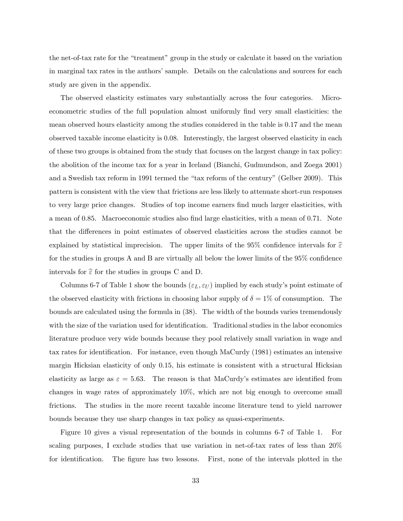the net-of-tax rate for the "treatment" group in the study or calculate it based on the variation in marginal tax rates in the authors' sample. Details on the calculations and sources for each study are given in the appendix.

The observed elasticity estimates vary substantially across the four categories. Microeconometric studies of the full population almost uniformly Önd very small elasticities: the mean observed hours elasticity among the studies considered in the table is 0.17 and the mean observed taxable income elasticity is 0.08. Interestingly, the largest observed elasticity in each of these two groups is obtained from the study that focuses on the largest change in tax policy: the abolition of the income tax for a year in Iceland (Bianchi, Gudmundson, and Zoega 2001) and a Swedish tax reform in 1991 termed the "tax reform of the century" (Gelber 2009). This pattern is consistent with the view that frictions are less likely to attenuate short-run responses to very large price changes. Studies of top income earners Önd much larger elasticities, with a mean of 0.85. Macroeconomic studies also find large elasticities, with a mean of 0.71. Note that the differences in point estimates of observed elasticities across the studies cannot be explained by statistical imprecision. The upper limits of the 95% confidence intervals for  $\hat{\epsilon}$ for the studies in groups  $A$  and  $B$  are virtually all below the lower limits of the  $95\%$  confidence intervals for  $\hat{\epsilon}$  for the studies in groups C and D.

Columns 6-7 of Table 1 show the bounds  $(\varepsilon_L, \varepsilon_U)$  implied by each study's point estimate of the observed elasticity with frictions in choosing labor supply of  $\delta = 1\%$  of consumption. The bounds are calculated using the formula in (38). The width of the bounds varies tremendously with the size of the variation used for identification. Traditional studies in the labor economics literature produce very wide bounds because they pool relatively small variation in wage and tax rates for identification. For instance, even though MaCurdy (1981) estimates an intensive margin Hicksian elasticity of only 0.15, his estimate is consistent with a structural Hicksian elasticity as large as  $\varepsilon = 5.63$ . The reason is that MaCurdy's estimates are identified from changes in wage rates of approximately 10%, which are not big enough to overcome small frictions. The studies in the more recent taxable income literature tend to yield narrower bounds because they use sharp changes in tax policy as quasi-experiments.

Figure 10 gives a visual representation of the bounds in columns 6-7 of Table 1. For scaling purposes, I exclude studies that use variation in net-of-tax rates of less than 20% for identification. The figure has two lessons. First, none of the intervals plotted in the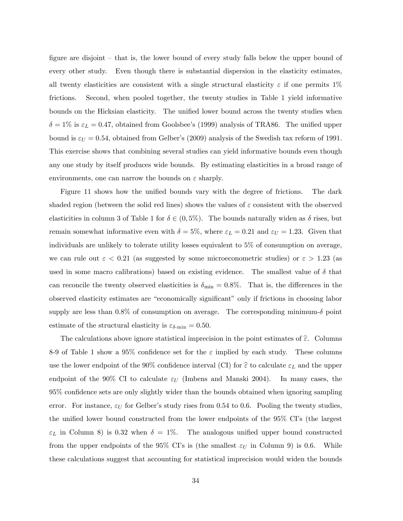figure are disjoint  $-$  that is, the lower bound of every study falls below the upper bound of every other study. Even though there is substantial dispersion in the elasticity estimates, all twenty elasticities are consistent with a single structural elasticity  $\varepsilon$  if one permits 1% frictions. Second, when pooled together, the twenty studies in Table 1 yield informative bounds on the Hicksian elasticity. The unified lower bound across the twenty studies when  $\delta = 1\%$  is  $\varepsilon_L = 0.47$ , obtained from Goolsbee's (1999) analysis of TRA86. The unified upper bound is  $\varepsilon_U = 0.54$ , obtained from Gelber's (2009) analysis of the Swedish tax reform of 1991. This exercise shows that combining several studies can yield informative bounds even though any one study by itself produces wide bounds. By estimating elasticities in a broad range of environments, one can narrow the bounds on  $\varepsilon$  sharply.

Figure 11 shows how the unified bounds vary with the degree of frictions. The dark shaded region (between the solid red lines) shows the values of  $\varepsilon$  consistent with the observed elasticities in column 3 of Table 1 for  $\delta \in (0, 5\%)$ . The bounds naturally widen as  $\delta$  rises, but remain somewhat informative even with  $\delta = 5\%$ , where  $\varepsilon_L = 0.21$  and  $\varepsilon_U = 1.23$ . Given that individuals are unlikely to tolerate utility losses equivalent to 5% of consumption on average, we can rule out  $\varepsilon < 0.21$  (as suggested by some microeconometric studies) or  $\varepsilon > 1.23$  (as used in some macro calibrations) based on existing evidence. The smallest value of  $\delta$  that can reconcile the twenty observed elasticities is  $\delta_{\min} = 0.8\%$ . That is, the differences in the observed elasticity estimates are "economically significant" only if frictions in choosing labor supply are less than  $0.8\%$  of consumption on average. The corresponding minimum- $\delta$  point estimate of the structural elasticity is  $\varepsilon_{\delta-\text{min}} = 0.50$ .

The calculations above ignore statistical imprecision in the point estimates of  $\widehat{\epsilon}$ . Columns 8-9 of Table 1 show a 95% confidence set for the  $\varepsilon$  implied by each study. These columns use the lower endpoint of the 90% confidence interval (CI) for  $\hat{\varepsilon}$  to calculate  $\varepsilon_L$  and the upper endpoint of the 90% CI to calculate  $\varepsilon_U$  (Imbens and Manski 2004). In many cases, the 95% conÖdence sets are only slightly wider than the bounds obtained when ignoring sampling error. For instance,  $\varepsilon_U$  for Gelber's study rises from 0.54 to 0.6. Pooling the twenty studies, the unified lower bound constructed from the lower endpoints of the  $95\%$  CI's (the largest  $\varepsilon_L$  in Column 8) is 0.32 when  $\delta = 1\%$ . The analogous unified upper bound constructed from the upper endpoints of the 95% CI's is (the smallest  $\varepsilon_U$  in Column 9) is 0.6. While these calculations suggest that accounting for statistical imprecision would widen the bounds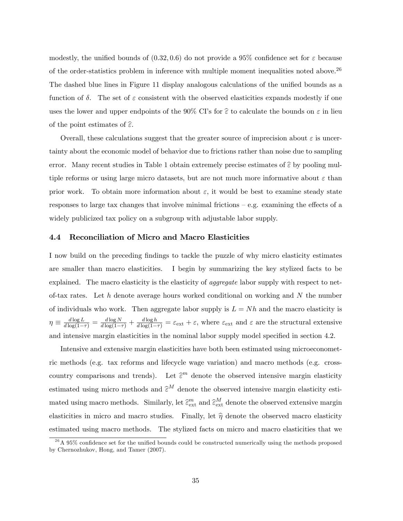modestly, the unified bounds of  $(0.32, 0.6)$  do not provide a 95% confidence set for  $\varepsilon$  because of the order-statistics problem in inference with multiple moment inequalities noted above.<sup>26</sup> The dashed blue lines in Figure 11 display analogous calculations of the unified bounds as a function of  $\delta$ . The set of  $\varepsilon$  consistent with the observed elasticities expands modestly if one uses the lower and upper endpoints of the 90% CI's for  $\hat{\varepsilon}$  to calculate the bounds on  $\varepsilon$  in lieu of the point estimates of  $\widehat{\epsilon}$ .

Overall, these calculations suggest that the greater source of imprecision about  $\varepsilon$  is uncertainty about the economic model of behavior due to frictions rather than noise due to sampling error. Many recent studies in Table 1 obtain extremely precise estimates of  $\hat{\epsilon}$  by pooling multiple reforms or using large micro datasets, but are not much more informative about  $\varepsilon$  than prior work. To obtain more information about  $\varepsilon$ , it would be best to examine steady state responses to large tax changes that involve minimal frictions  $-$  e.g. examining the effects of a widely publicized tax policy on a subgroup with adjustable labor supply.

#### 4.4 Reconciliation of Micro and Macro Elasticities

I now build on the preceding findings to tackle the puzzle of why micro elasticity estimates are smaller than macro elasticities. I begin by summarizing the key stylized facts to be explained. The macro elasticity is the elasticity of *aggregate* labor supply with respect to netof-tax rates. Let h denote average hours worked conditional on working and  $N$  the number of individuals who work. Then aggregate labor supply is  $L = Nh$  and the macro elasticity is  $\eta \equiv \frac{d \log L}{d \log(1-\tau)} = \frac{d \log N}{d \log(1-\tau)} + \frac{d \log h}{d \log(1-\tau)} = \varepsilon_{\rm ext} + \varepsilon$ , where  $\varepsilon_{\rm ext}$  and  $\varepsilon$  are the structural extensive and intensive margin elasticities in the nominal labor supply model specified in section 4.2.

Intensive and extensive margin elasticities have both been estimated using microeconometric methods (e.g. tax reforms and lifecycle wage variation) and macro methods (e.g. crosscountry comparisons and trends). Let  $\hat{\epsilon}^m$  denote the observed intensive margin elasticity estimated using micro methods and  $\hat{\epsilon}^M$  denote the observed intensive margin elasticity estimated using macro methods. Similarly, let  $\hat{\epsilon}_{\text{ext}}^m$  and  $\hat{\epsilon}_{\text{ext}}^M$  denote the observed extensive margin elasticities in micro and macro studies. Finally, let  $\hat{\eta}$  denote the observed macro elasticity estimated using macro methods. The stylized facts on micro and macro elasticities that we

 $^{26}$ A 95% confidence set for the unified bounds could be constructed numerically using the methods proposed by Chernozhukov, Hong, and Tamer (2007).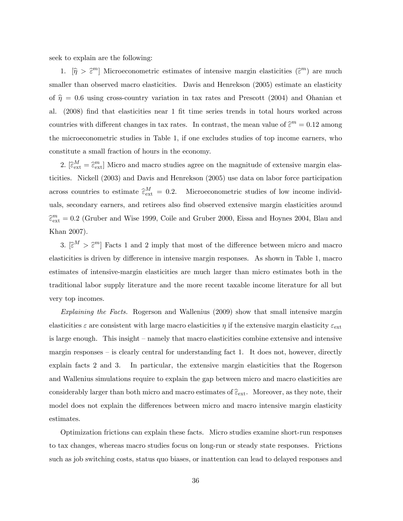seek to explain are the following:

1.  $[\hat{\eta} > \hat{\epsilon}^m]$  Microeconometric estimates of intensive margin elasticities  $(\hat{\epsilon}^m)$  are much smaller than observed macro elasticities. Davis and Henrekson (2005) estimate an elasticity of  $\hat{\eta} = 0.6$  using cross-country variation in tax rates and Prescott (2004) and Ohanian et al. (2008) Önd that elasticities near 1 Öt time series trends in total hours worked across countries with different changes in tax rates. In contrast, the mean value of  $\widehat{\epsilon}^m = 0.12$  among the microeconometric studies in Table 1, if one excludes studies of top income earners, who constitute a small fraction of hours in the economy.

2.  $[\hat{\epsilon}_{ext}^M = \hat{\epsilon}_{ext}^m]$  Micro and macro studies agree on the magnitude of extensive margin elasticities. Nickell (2003) and Davis and Henrekson (2005) use data on labor force participation across countries to estimate  $\hat{\epsilon}_{ext}^M = 0.2$ . Microeconometric studies of low income individuals, secondary earners, and retirees also find observed extensive margin elasticities around  $\widehat{\epsilon}_{\text{ext}}^m = 0.2$  (Gruber and Wise 1999, Coile and Gruber 2000, Eissa and Hoynes 2004, Blau and Khan 2007).

3.  $[\hat{\varepsilon}^M > \hat{\varepsilon}^m]$  Facts 1 and 2 imply that most of the difference between micro and macro elasticities is driven by difference in intensive margin responses. As shown in Table 1, macro estimates of intensive-margin elasticities are much larger than micro estimates both in the traditional labor supply literature and the more recent taxable income literature for all but very top incomes.

Explaining the Facts. Rogerson and Wallenius (2009) show that small intensive margin elasticities  $\varepsilon$  are consistent with large macro elasticities  $\eta$  if the extensive margin elasticity  $\varepsilon_{\text{ext}}$ is large enough. This insight  $-$  namely that macro elasticities combine extensive and intensive margin responses  $-$  is clearly central for understanding fact 1. It does not, however, directly explain facts 2 and 3. In particular, the extensive margin elasticities that the Rogerson and Wallenius simulations require to explain the gap between micro and macro elasticities are considerably larger than both micro and macro estimates of  $\widehat{\epsilon}_{ext}$ . Moreover, as they note, their model does not explain the differences between micro and macro intensive margin elasticity estimates.

Optimization frictions can explain these facts. Micro studies examine short-run responses to tax changes, whereas macro studies focus on long-run or steady state responses. Frictions such as job switching costs, status quo biases, or inattention can lead to delayed responses and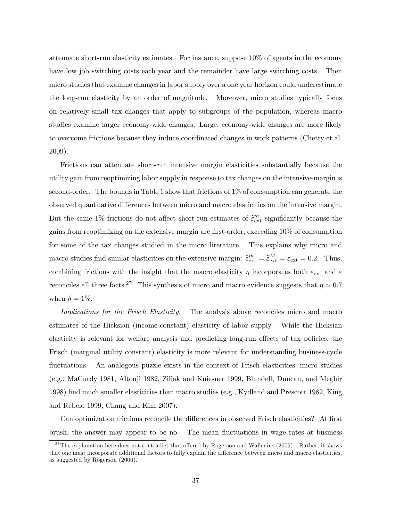attenuate short-run elasticity estimates. For instance, suppose 10% of agents in the economy have low job switching costs each year and the remainder have large switching costs. Then micro studies that examine changes in labor supply over a one year horizon could underestimate the long-run elasticity by an order of magnitude. Moreover, micro studies typically focus on relatively small tax changes that apply to subgroups of the population, whereas macro studies examine larger economy-wide changes. Large, economy-wide changes are more likely to overcome frictions because they induce coordinated changes in work patterns (Chetty et al. 2009).

Frictions can attenuate short-run intensive margin elasticities substantially because the utility gain from reoptimizing labor supply in response to tax changes on the intensive-margin is second-order. The bounds in Table 1 show that frictions of 1% of consumption can generate the observed quantitative differences between micro and macro elasticities on the intensive margin. But the same 1% frictions do not affect short-run estimates of  $\hat{\epsilon}^m_{\text{ext}}$  significantly because the gains from reoptimizing on the extensive margin are first-order, exceeding  $10\%$  of consumption for some of the tax changes studied in the micro literature. This explains why micro and macro studies find similar elasticities on the extensive margin:  $\hat{\epsilon}_{ext}^{m} = \hat{\epsilon}_{ext}^{M} = \epsilon_{ext} = 0.2$ . Thus, combining frictions with the insight that the macro elasticity  $\eta$  incorporates both  $\varepsilon_{\text{ext}}$  and  $\varepsilon$ reconciles all three facts.<sup>27</sup> This synthesis of micro and macro evidence suggests that  $\eta \simeq 0.7$ when  $\delta = 1\%$ .

Implications for the Frisch Elasticity. The analysis above reconciles micro and macro estimates of the Hicksian (income-constant) elasticity of labor supply. While the Hicksian elasticity is relevant for welfare analysis and predicting long-run effects of tax policies, the Frisch (marginal utility constant) elasticity is more relevant for understanding business-cycle fluctuations. An analogous puzzle exists in the context of Frisch elasticities: micro studies (e.g., MaCurdy 1981, Altonji 1982, Ziliak and Kniesner 1999, Blundell, Duncan, and Meghir 1998) Önd much smaller elasticities than macro studies (e.g., Kydland and Prescott 1982, King and Rebelo 1999, Chang and Kim 2007).

Can optimization frictions reconcile the differences in observed Frisch elasticities? At first brush, the answer may appear to be no. The mean fluctuations in wage rates at business

<sup>&</sup>lt;sup>27</sup>The explanation here does not contradict that offered by Rogerson and Wallenius (2009). Rather, it shows that one must incorporate additional factors to fully explain the difference between micro and macro elasticities, as suggested by Rogerson (2006).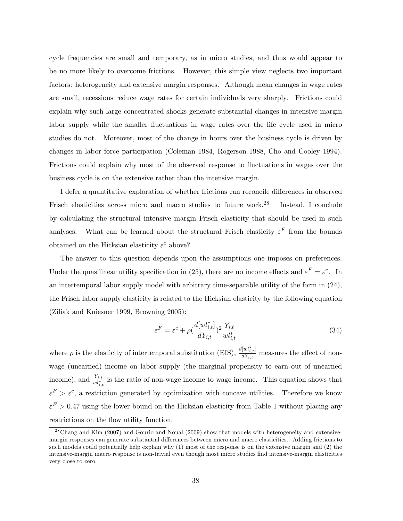cycle frequencies are small and temporary, as in micro studies, and thus would appear to be no more likely to overcome frictions. However, this simple view neglects two important factors: heterogeneity and extensive margin responses. Although mean changes in wage rates are small, recessions reduce wage rates for certain individuals very sharply. Frictions could explain why such large concentrated shocks generate substantial changes in intensive margin labor supply while the smaller fluctuations in wage rates over the life cycle used in micro studies do not. Moreover, most of the change in hours over the business cycle is driven by changes in labor force participation (Coleman 1984, Rogerson 1988, Cho and Cooley 1994). Frictions could explain why most of the observed response to fluctuations in wages over the business cycle is on the extensive rather than the intensive margin.

I defer a quantitative exploration of whether frictions can reconcile differences in observed Frisch elasticities across micro and macro studies to future work.<sup>28</sup> Instead, I conclude by calculating the structural intensive margin Frisch elasticity that should be used in such analyses. What can be learned about the structural Frisch elasticity  $\varepsilon^F$  from the bounds obtained on the Hicksian elasticity  $\varepsilon^c$  above?

The answer to this question depends upon the assumptions one imposes on preferences. Under the quasilinear utility specification in (25), there are no income effects and  $\varepsilon^F = \varepsilon^c$ . In an intertemporal labor supply model with arbitrary time-separable utility of the form in (24), the Frisch labor supply elasticity is related to the Hicksian elasticity by the following equation (Ziliak and Kniesner 1999, Browning 2005):

$$
\varepsilon^{F} = \varepsilon^{c} + \rho \left(\frac{d[wl_{i,t}^{*}]}{dY_{i,t}}\right)^{2} \frac{Y_{i,t}}{wl_{i,t}^{*}}
$$
\n(34)

where  $\rho$  is the elasticity of intertemporal substitution (EIS),  $\frac{d[w]_{i,t}^*}{dY_{i,t}}$  $\frac{d^{\{w_i\}}_{i,t}}{dY_{i,t}}$  measures the effect of nonwage (unearned) income on labor supply (the marginal propensity to earn out of unearned income), and  $\frac{Y_{i,t}}{w l_{i,t}^*}$  is the ratio of non-wage income to wage income. This equation shows that  $\varepsilon^F > \varepsilon^c$ , a restriction generated by optimization with concave utilities. Therefore we know  $\varepsilon^F > 0.47$  using the lower bound on the Hicksian elasticity from Table 1 without placing any restrictions on the flow utility function.

<sup>&</sup>lt;sup>28</sup>Chang and Kim (2007) and Gourio and Noual (2009) show that models with heterogeneity and extensivemargin responses can generate substantial differences between micro and macro elasticities. Adding frictions to such models could potentially help explain why (1) most of the response is on the extensive margin and (2) the intensive-margin macro response is non-trivial even though most micro studies find intensive-margin elasticities very close to zero.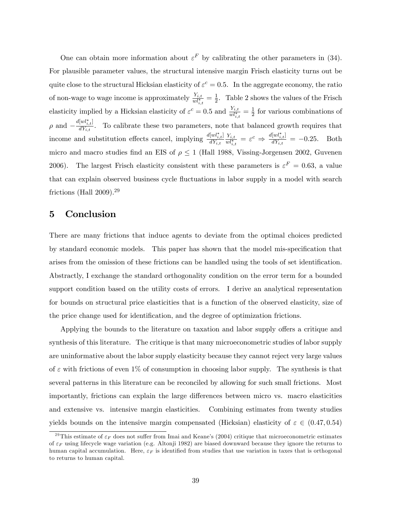One can obtain more information about  $\varepsilon^F$  by calibrating the other parameters in (34). For plausible parameter values, the structural intensive margin Frisch elasticity turns out be quite close to the structural Hicksian elasticity of  $\varepsilon^c = 0.5$ . In the aggregate economy, the ratio of non-wage to wage income is approximately  $\frac{Y_{i,t}}{w l_{i,t}^*} = \frac{1}{2}$  $\frac{1}{2}$ . Table 2 shows the values of the Frisch elasticity implied by a Hicksian elasticity of  $\varepsilon^c = 0.5$  and  $\frac{Y_{i,t}}{w l_{i,t}^*} = \frac{1}{2}$  $\frac{1}{2}$  for various combinations of  $\rho$  and  $-\frac{d[wl^*_{i,t}]}{dY_{i,t}}$  $\frac{dW_{i,t}}{dY_{i,t}}$ . To calibrate these two parameters, note that balanced growth requires that income and substitution effects cancel, implying  $\frac{d[w]_{i,t}^*}{dY_{i,t}}$  $dY_{i,t}$  $Y_{i,t}$  $\frac{Y_{i,t}}{w l_{i,t}^*} = \varepsilon^c \Rightarrow \frac{d[w l_{i,t}^*]}{d Y_{i,t}}$  $\frac{dW_i(t)}{dY_{i,t}} = -0.25$ . Both micro and macro studies find an EIS of  $\rho \le 1$  (Hall 1988, Vissing-Jorgensen 2002, Guvenen 2006). The largest Frisch elasticity consistent with these parameters is  $\varepsilon^F = 0.63$ , a value that can explain observed business cycle fluctuations in labor supply in a model with search frictions (Hall 2009).<sup>29</sup>

# 5 Conclusion

There are many frictions that induce agents to deviate from the optimal choices predicted by standard economic models. This paper has shown that the model mis-specification that arises from the omission of these frictions can be handled using the tools of set identification. Abstractly, I exchange the standard orthogonality condition on the error term for a bounded support condition based on the utility costs of errors. I derive an analytical representation for bounds on structural price elasticities that is a function of the observed elasticity, size of the price change used for identification, and the degree of optimization frictions.

Applying the bounds to the literature on taxation and labor supply offers a critique and synthesis of this literature. The critique is that many microeconometric studies of labor supply are uninformative about the labor supply elasticity because they cannot reject very large values of  $\varepsilon$  with frictions of even 1% of consumption in choosing labor supply. The synthesis is that several patterns in this literature can be reconciled by allowing for such small frictions. Most importantly, frictions can explain the large differences between micro vs. macro elasticities and extensive vs. intensive margin elasticities. Combining estimates from twenty studies yields bounds on the intensive margin compensated (Hicksian) elasticity of  $\varepsilon \in (0.47, 0.54)$ 

<sup>&</sup>lt;sup>29</sup>This estimate of  $\varepsilon_F$  does not suffer from Imai and Keane's (2004) critique that microeconometric estimates of  $\varepsilon_F$  using lifecycle wage variation (e.g. Altonji 1982) are biased downward because they ignore the returns to human capital accumulation. Here,  $\varepsilon_F$  is identified from studies that use variation in taxes that is orthogonal to returns to human capital.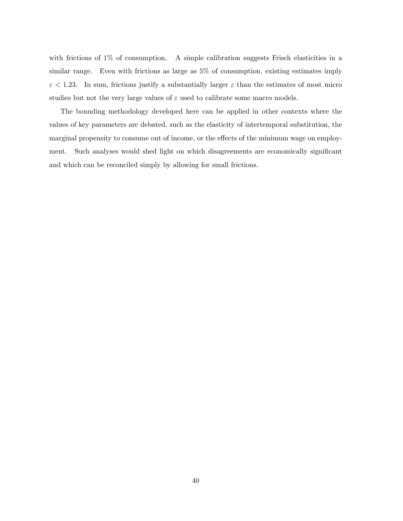with frictions of 1% of consumption. A simple calibration suggests Frisch elasticities in a similar range. Even with frictions as large as 5% of consumption, existing estimates imply  $\varepsilon$  < 1.23. In sum, frictions justify a substantially larger  $\varepsilon$  than the estimates of most micro studies but not the very large values of  $\varepsilon$  used to calibrate some macro models.

The bounding methodology developed here can be applied in other contexts where the values of key parameters are debated, such as the elasticity of intertemporal substitution, the marginal propensity to consume out of income, or the effects of the minimum wage on employment. Such analyses would shed light on which disagreements are economically significant and which can be reconciled simply by allowing for small frictions.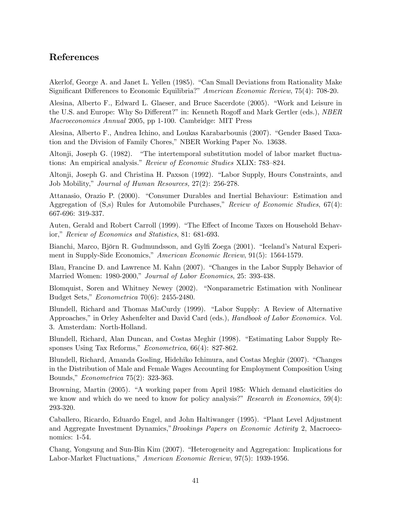# References

Akerlof, George A. and Janet L. Yellen (1985). "Can Small Deviations from Rationality Make Significant Differences to Economic Equilibria?" American Economic Review, 75(4): 708-20.

Alesina, Alberto F., Edward L. Glaeser, and Bruce Sacerdote (2005). "Work and Leisure in the U.S. and Europe: Why So Different?" in: Kenneth Rogoff and Mark Gertler (eds.), *NBER* Macroeconomics Annual 2005, pp 1-100. Cambridge: MIT Press

Alesina, Alberto F., Andrea Ichino, and Loukas Karabarbounis (2007). "Gender Based Taxation and the Division of Family Chores," NBER Working Paper No. 13638.

Altonji, Joseph G. (1982). "The intertemporal substitution model of labor market fluctuations: An empirical analysis." Review of Economic Studies XLIX: 783-824.

Altonji, Joseph G. and Christina H. Paxson (1992). "Labor Supply, Hours Constraints, and Job Mobility," Journal of Human Resources, 27(2): 256-278.

Attanasio, Orazio P. (2000). "Consumer Durables and Inertial Behaviour: Estimation and Aggregation of  $(S,s)$  Rules for Automobile Purchases," Review of Economic Studies,  $67(4)$ : 667-696: 319-337.

Auten, Gerald and Robert Carroll (1999). "The Effect of Income Taxes on Household Behavior," Review of Economics and Statistics, 81: 681-693.

Bianchi, Marco, Björn R. Gudmundsson, and Gylfi Zoega (2001). "Iceland's Natural Experiment in Supply-Side Economics," American Economic Review, 91(5): 1564-1579.

Blau, Francine D. and Lawrence M. Kahn (2007). "Changes in the Labor Supply Behavior of Married Women: 1980-2000," Journal of Labor Economics, 25: 393-438.

Blomquist, Soren and Whitney Newey (2002). "Nonparametric Estimation with Nonlinear Budget Sets," Econometrica 70(6): 2455-2480.

Blundell, Richard and Thomas MaCurdy (1999). "Labor Supply: A Review of Alternative Approaches," in Orley Ashenfelter and David Card (eds.), Handbook of Labor Economics. Vol. 3. Amsterdam: North-Holland.

Blundell, Richard, Alan Duncan, and Costas Meghir (1998). "Estimating Labor Supply Responses Using Tax Reforms,"  $Econometrica$ , 66(4): 827-862.

Blundell, Richard, Amanda Gosling, Hidehiko Ichimura, and Costas Meghir (2007). "Changes in the Distribution of Male and Female Wages Accounting for Employment Composition Using Bounds," *Econometrica* 75(2): 323-363.

Browning, Martin (2005). "A working paper from April 1985: Which demand elasticities do we know and which do we need to know for policy analysis?" Research in Economics,  $59(4)$ : 293-320.

Caballero, Ricardo, Eduardo Engel, and John Haltiwanger (1995). "Plant Level Adjustment and Aggregate Investment Dynamics," Brookings Papers on Economic Activity 2, Macroeconomics: 1-54.

Chang, Yongsung and Sun-Bin Kim (2007). "Heterogeneity and Aggregation: Implications for Labor-Market Fluctuations," American Economic Review, 97(5): 1939-1956.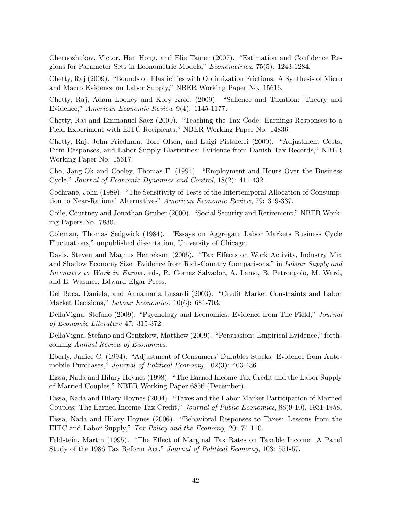Chernozhukov, Victor, Han Hong, and Elie Tamer (2007). "Estimation and Confidence Regions for Parameter Sets in Econometric Models," Econometrica, 75(5): 1243-1284.

Chetty, Raj (2009). "Bounds on Elasticities with Optimization Frictions: A Synthesis of Micro and Macro Evidence on Labor Supply," NBER Working Paper No. 15616.

Chetty, Raj, Adam Looney and Kory Kroft (2009). "Salience and Taxation: Theory and Evidence," American Economic Review 9(4): 1145-1177.

Chetty,  $Ra<sub>i</sub>$  and Emmanuel Saez (2009). "Teaching the Tax Code: Earnings Responses to a Field Experiment with EITC Recipients," NBER Working Paper No. 14836.

Chetty, Raj, John Friedman, Tore Olsen, and Luigi Pistaferri (2009). "Adjustment Costs, Firm Responses, and Labor Supply Elasticities: Evidence from Danish Tax Records," NBER Working Paper No. 15617.

Cho, Jang-Ok and Cooley, Thomas F. (1994). "Employment and Hours Over the Business Cycle," Journal of Economic Dynamics and Control, 18(2): 411-432.

Cochrane, John (1989). "The Sensitivity of Tests of the Intertemporal Allocation of Consumption to Near-Rational Alternatives" American Economic Review, 79: 319-337.

Coile, Courtney and Jonathan Gruber (2000). "Social Security and Retirement," NBER Working Papers No. 7830.

Coleman, Thomas Sedgwick (1984). "Essays on Aggregate Labor Markets Business Cycle Fluctuations," unpublished dissertation, University of Chicago.

Davis, Steven and Magnus Henrekson (2005). "Tax Effects on Work Activity, Industry Mix and Shadow Economy Size: Evidence from Rich-Country Comparisons," in Labour Supply and Incentives to Work in Europe, eds, R. Gomez Salvador, A. Lamo, B. Petrongolo, M. Ward, and E. Wasmer, Edward Elgar Press.

Del Boca, Daniela, and Annamaria Lusardi (2003). "Credit Market Constraints and Labor Market Decisions," Labour Economics, 10(6): 681-703.

DellaVigna, Stefano (2009). "Psychology and Economics: Evidence from The Field," Journal of Economic Literature 47: 315-372.

DellaVigna, Stefano and Gentzkow, Matthew (2009). "Persuasion: Empirical Evidence," forthcoming Annual Review of Economics.

Eberly, Janice C. (1994). "Adjustment of Consumers' Durables Stocks: Evidence from Automobile Purchases," Journal of Political Economy, 102(3): 403-436.

Eissa, Nada and Hilary Hoynes (1998). "The Earned Income Tax Credit and the Labor Supply of Married Couples," NBER Working Paper 6856 (December).

Eissa, Nada and Hilary Hoynes (2004). "Taxes and the Labor Market Participation of Married Couples: The Earned Income Tax Credit," Journal of Public Economics, 88(9-10), 1931-1958.

Eissa, Nada and Hilary Hoynes (2006). "Behavioral Responses to Taxes: Lessons from the EITC and Labor Supply," Tax Policy and the Economy, 20: 74-110.

Feldstein, Martin (1995). "The Effect of Marginal Tax Rates on Taxable Income: A Panel Study of the 1986 Tax Reform Act," Journal of Political Economy, 103: 551-57.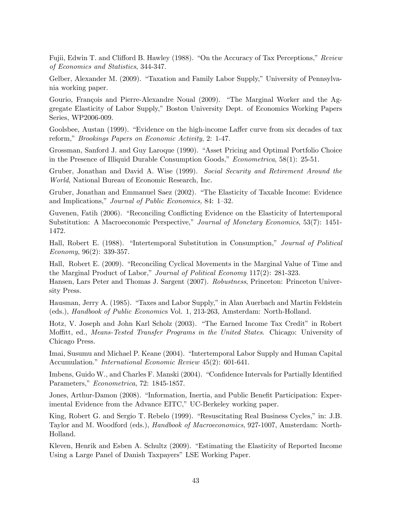Fujii, Edwin T. and Clifford B. Hawley (1988). "On the Accuracy of Tax Perceptions," Review of Economics and Statistics, 344-347.

Gelber, Alexander M. (2009). "Taxation and Family Labor Supply," University of Pennsylvania working paper.

Gourio, François and Pierre-Alexandre Noual (2009). "The Marginal Worker and the Aggregate Elasticity of Labor Supply," Boston University Dept. of Economics Working Papers Series, WP2006-009.

Goolsbee, Austan (1999). "Evidence on the high-income Laffer curve from six decades of tax reform," Brookings Papers on Economic Activity, 2: 1-47.

Grossman, Sanford J. and Guy Laroque (1990). "Asset Pricing and Optimal Portfolio Choice in the Presence of Illiquid Durable Consumption Goods,"  $Econometrica$ , 58(1): 25-51.

Gruber, Jonathan and David A. Wise (1999). Social Security and Retirement Around the World, National Bureau of Economic Research, Inc.

Gruber, Jonathan and Emmanuel Saez (2002). "The Elasticity of Taxable Income: Evidence and Implications," Journal of Public Economics, 84:  $1-32$ .

Guvenen, Fatih (2006). "Reconciling Conflicting Evidence on the Elasticity of Intertemporal Substitution: A Macroeconomic Perspective," Journal of Monetary Economics, 53(7): 1451-1472.

Hall, Robert E. (1988). "Intertemporal Substitution in Consumption," Journal of Political Economy, 96(2): 339-357.

Hall, Robert E. (2009). "Reconciling Cyclical Movements in the Marginal Value of Time and the Marginal Product of Labor," Journal of Political Economy  $117(2)$ : 281-323. Hansen, Lars Peter and Thomas J. Sargent (2007). Robustness, Princeton: Princeton Univer-

sity Press. Hausman, Jerry A. (1985). "Taxes and Labor Supply," in Alan Auerbach and Martin Feldstein

(eds.), Handbook of Public Economics Vol. 1, 213-263, Amsterdam: North-Holland.

Hotz, V. Joseph and John Karl Scholz (2003). "The Earned Income Tax Credit" in Robert Moffitt, ed., Means-Tested Transfer Programs in the United States. Chicago: University of Chicago Press.

Imai, Susumu and Michael P. Keane (2004). "Intertemporal Labor Supply and Human Capital Accumulation." International Economic Review 45(2): 601-641.

Imbens, Guido W., and Charles F. Manski (2004). "Confidence Intervals for Partially Identified Parameters," Econometrica, 72: 1845-1857.

Jones, Arthur-Damon (2008). "Information, Inertia, and Public Benefit Participation: Experimental Evidence from the Advance EITC," UC-Berkeley working paper.

King, Robert G. and Sergio T. Rebelo (1999). "Resuscitating Real Business Cycles," in: J.B. Taylor and M. Woodford (eds.), Handbook of Macroeconomics, 927-1007, Amsterdam: North-Holland.

Kleven, Henrik and Esben A. Schultz (2009). "Estimating the Elasticity of Reported Income Using a Large Panel of Danish Taxpayers" LSE Working Paper.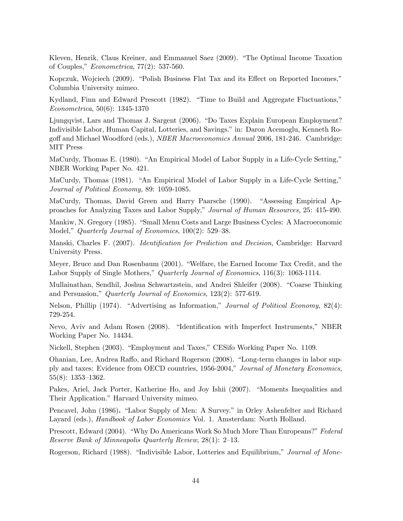Kleven, Henrik, Claus Kreiner, and Emmanuel Saez (2009). "The Optimal Income Taxation of Couples,"  $Econometrica$ , 77(2): 537-560.

Kopczuk, Wojciech (2009). "Polish Business Flat Tax and its Effect on Reported Incomes," Columbia University mimeo.

Kydland, Finn and Edward Prescott (1982). "Time to Build and Aggregate Fluctuations," Econometrica, 50(6): 1345-1370

Ljungqvist, Lars and Thomas J. Sargent (2006). "Do Taxes Explain European Employment? Indivisible Labor, Human Capital, Lotteries, and Savings." in: Daron Acemoglu, Kenneth Rogoff and Michael Woodford (eds.), *NBER Macroeconomics Annual* 2006, 181-246. Cambridge: MIT Press

MaCurdy, Thomas E. (1980). "An Empirical Model of Labor Supply in a Life-Cycle Setting," NBER Working Paper No. 421.

MaCurdy, Thomas (1981). "An Empirical Model of Labor Supply in a Life-Cycle Setting," Journal of Political Economy, 89: 1059-1085.

MaCurdy, Thomas, David Green and Harry Paarsche (1990). "Assessing Empirical Approaches for Analyzing Taxes and Labor Supply," Journal of Human Resources, 25: 415-490.

Mankiw, N. Gregory (1985). "Small Menu Costs and Large Business Cycles: A Macroeconomic Model," Quarterly Journal of Economics,  $100(2)$ : 529–38.

Manski, Charles F. (2007). *Identification for Prediction and Decision*, Cambridge: Harvard University Press.

Meyer, Bruce and Dan Rosenbaum (2001). "Welfare, the Earned Income Tax Credit, and the Labor Supply of Single Mothers," Quarterly Journal of Economics, 116(3): 1063-1114.

Mullainathan, Sendhil, Joshua Schwartzstein, and Andrei Shleifer (2008). "Coarse Thinking and Persuasion," Quarterly Journal of Economics,  $123(2)$ : 577-619.

Nelson, Phillip (1974). "Advertising as Information," Journal of Political Economy,  $82(4)$ : 729-254.

Nevo, Aviv and Adam Rosen (2008). "Identification with Imperfect Instruments," NBER Working Paper No. 14434.

Nickell, Stephen (2003). "Employment and Taxes," CESifo Working Paper No. 1109.

Ohanian, Lee, Andrea Raffo, and Richard Rogerson (2008). "Long-term changes in labor supply and taxes: Evidence from OECD countries, 1956-2004," Journal of Monetary Economics,  $55(8): 1353-1362.$ 

Pakes, Ariel, Jack Porter, Katherine Ho, and Joy Ishii (2007). "Moments Inequalities and Their Application." Harvard University mimeo.

Pencavel, John (1986). "Labor Supply of Men: A Survey." in Orley Ashenfelter and Richard Layard (eds.), Handbook of Labor Economics Vol. 1. Amsterdam: North Holland.

Prescott, Edward (2004). "Why Do Americans Work So Much More Than Europeans?" Federal Reserve Bank of Minneapolis Quarterly Review,  $28(1)$ : 2-13.

Rogerson, Richard (1988). "Indivisible Labor, Lotteries and Equilibrium," Journal of Mone-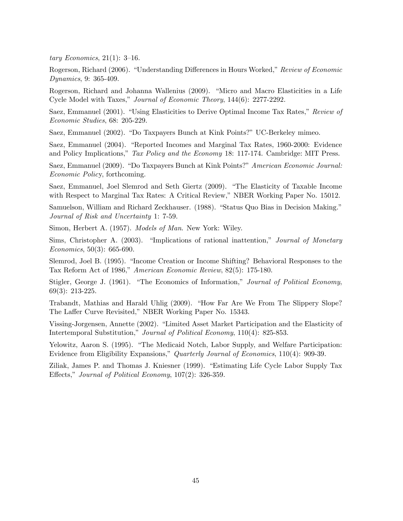tary Economics,  $21(1)$ : 3-16.

Rogerson, Richard (2006). "Understanding Differences in Hours Worked," Review of Economic Dynamics, 9: 365-409.

Rogerson, Richard and Johanna Wallenius (2009). "Micro and Macro Elasticities in a Life Cycle Model with Taxes," Journal of Economic Theory, 144(6): 2277-2292.

Saez, Emmanuel (2001). "Using Elasticities to Derive Optimal Income Tax Rates," Review of Economic Studies, 68: 205-229.

Saez, Emmanuel (2002). "Do Taxpayers Bunch at Kink Points?" UC-Berkeley mimeo.

Saez, Emmanuel (2004). "Reported Incomes and Marginal Tax Rates, 1960-2000: Evidence and Policy Implications," Tax Policy and the Economy 18: 117-174. Cambridge: MIT Press.

Saez, Emmanuel (2009). "Do Taxpayers Bunch at Kink Points?" American Economic Journal: Economic Policy, forthcoming.

Saez, Emmanuel, Joel Slemrod and Seth Giertz (2009). "The Elasticity of Taxable Income with Respect to Marginal Tax Rates: A Critical Review," NBER Working Paper No. 15012.

Samuelson, William and Richard Zeckhauser. (1988). "Status Quo Bias in Decision Making." Journal of Risk and Uncertainty 1: 7-59.

Simon, Herbert A. (1957). Models of Man. New York: Wiley.

Sims, Christopher A.  $(2003)$ . "Implications of rational inattention," Journal of Monetary Economics, 50(3): 665-690.

Slemrod, Joel B. (1995). "Income Creation or Income Shifting? Behavioral Responses to the Tax Reform Act of 1986," American Economic Review,  $82(5)$ : 175-180.

Stigler, George J. (1961). "The Economics of Information," Journal of Political Economy, 69(3): 213-225.

Trabandt, Mathias and Harald Uhlig (2009). "How Far Are We From The Slippery Slope? The Laffer Curve Revisited," NBER Working Paper No. 15343.

Vissing-Jorgensen, Annette (2002). "Limited Asset Market Participation and the Elasticity of Intertemporal Substitution," Journal of Political Economy, 110(4): 825-853.

Yelowitz, Aaron S. (1995). "The Medicaid Notch, Labor Supply, and Welfare Participation: Evidence from Eligibility Expansions," Quarterly Journal of Economics,  $110(4)$ : 909-39.

Ziliak, James P. and Thomas J. Kniesner (1999). "Estimating Life Cycle Labor Supply Tax Effects," Journal of Political Economy,  $107(2)$ : 326-359.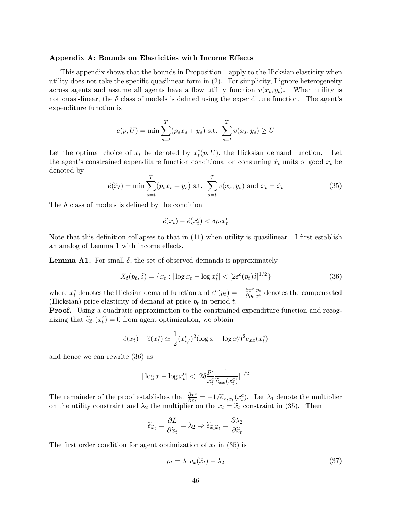#### Appendix A: Bounds on Elasticities with Income Effects

This appendix shows that the bounds in Proposition 1 apply to the Hicksian elasticity when utility does not take the specific quasilinear form in  $(2)$ . For simplicity, I ignore heterogeneity across agents and assume all agents have a flow utility function  $v(x_t, y_t)$ . When utility is not quasi-linear, the  $\delta$  class of models is defined using the expenditure function. The agent's expenditure function is

$$
e(p, U) = \min \sum_{s=t}^{T} (p_s x_s + y_s) \text{ s.t. } \sum_{s=t}^{T} v(x_s, y_s) \ge U
$$

Let the optimal choice of  $x_t$  be denoted by  $x_t^c(p, U)$ , the Hicksian demand function. Let the agent's constrained expenditure function conditional on consuming  $\tilde{x}_t$  units of good  $x_t$  be denoted by

$$
\widetilde{e}(\widetilde{x}_t) = \min \sum_{s=t}^{T} (p_s x_s + y_s) \text{ s.t. } \sum_{s=t}^{T} v(x_s, y_s) \text{ and } x_t = \widetilde{x}_t \tag{35}
$$

The  $\delta$  class of models is defined by the condition

$$
\widetilde{e}(x_t) - \widetilde{e}(x_t^c) < \delta p_t x_t^c
$$

Note that this definition collapses to that in  $(11)$  when utility is quasilinear. I first establish an analog of Lemma 1 with income effects.

**Lemma A1.** For small  $\delta$ , the set of observed demands is approximately

$$
X_t(p_t, \delta) = \{x_t : |\log x_t - \log x_t^c| < [2\varepsilon^c(p_t)\delta]^{1/2}\}\tag{36}
$$

where  $x_t^c$  denotes the Hicksian demand function and  $\varepsilon^c(p_t) = -\frac{\partial x^c}{\partial p_t}$  $\partial p_t$  $\frac{p_t}{x^c}$  denotes the compensated (Hicksian) price elasticity of demand at price  $p_t$  in period  $t$ .

**Proof.** Using a quadratic approximation to the constrained expenditure function and recognizing that  $\tilde{e}_{\tilde{x}_t}(x_t^c) = 0$  from agent optimization, we obtain

$$
\tilde{e}(x_t) - \tilde{e}(x_t^c) \simeq \frac{1}{2} (x_{i,t}^c)^2 (\log x - \log x_t^c)^2 e_{xx}(x_t^c)
$$

and hence we can rewrite (36) as

$$
|\log x - \log x_t^c| < \left[2\delta \frac{p_t}{x_t^c} \frac{1}{\widetilde{e}_{xx}(x_t^c)}\right]^{1/2}
$$

The remainder of the proof establishes that  $\frac{\partial x^c}{\partial p_t} = -1/\widetilde{e}_{\widetilde{x}_t} \widetilde{x}_t(x_t^c)$ . Let  $\lambda_1$  denote the multiplier on the utility constraint and  $\lambda_2$  the multiplier on the  $x_t = \tilde{x}_t$  constraint in (35). Then

$$
\widetilde{e}_{\widetilde{x}_t} = \frac{\partial L}{\partial \widetilde{x}_t} = \lambda_2 \Rightarrow \widetilde{e}_{\widetilde{x}_t \widetilde{x}_t} = \frac{\partial \lambda_2}{\partial \widetilde{x}_t}
$$

The first order condition for agent optimization of  $x_t$  in (35) is

$$
p_t = \lambda_1 v_x(\tilde{x}_t) + \lambda_2 \tag{37}
$$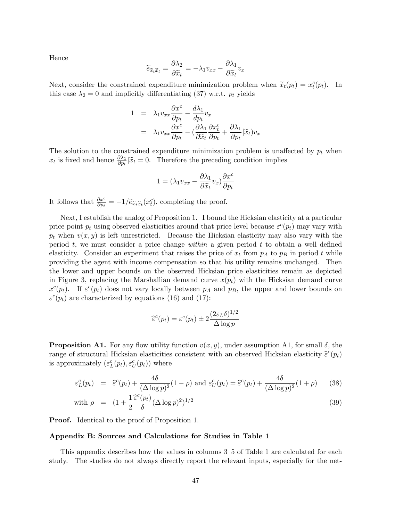Hence

$$
\widetilde{e}_{\widetilde{x}_t \widetilde{x}_t} = \frac{\partial \lambda_2}{\partial \widetilde{x}_t} = -\lambda_1 v_{xx} - \frac{\partial \lambda_1}{\partial \widetilde{x}_t} v_x
$$

Next, consider the constrained expenditure minimization problem when  $\tilde{x}_t(p_t) = x_t^c(p_t)$ . In this case  $\lambda_2 = 0$  and implicitly differentiating (37) w.r.t.  $p_t$  yields

$$
1 = \lambda_1 v_{xx} \frac{\partial x^c}{\partial p_t} - \frac{d\lambda_1}{dp_t} v_x
$$
  

$$
= \lambda_1 v_{xx} \frac{\partial x^c}{\partial p_t} - \left(\frac{\partial \lambda_1}{\partial \widetilde{x}_t} \frac{\partial x^c_t}{\partial p_t} + \frac{\partial \lambda_1}{\partial p_t} \middle| \widetilde{x}_t \right) v_x
$$

The solution to the constrained expenditure minimization problem is unaffected by  $p_t$  when  $x_t$  is fixed and hence  $\frac{\partial \lambda_1}{\partial p_t}|\tilde{x}_t=0$ . Therefore the preceding condition implies

$$
1 = (\lambda_1 v_{xx} - \frac{\partial \lambda_1}{\partial \widetilde{x}_t} v_x) \frac{\partial x^c}{\partial p_t}
$$

It follows that  $\frac{\partial x^c}{\partial p_t} = -1/\tilde{e}_{\tilde{x}_t}(\tilde{x}_t(x_t^c))$ , completing the proof.

Next, I establish the analog of Proposition 1. I bound the Hicksian elasticity at a particular price point  $p_t$  using observed elasticities around that price level because  $\varepsilon^c(p_t)$  may vary with  $p_t$  when  $v(x, y)$  is left unrestricted. Because the Hicksian elasticity may also vary with the period  $t$ , we must consider a price change within a given period  $t$  to obtain a well defined elasticity. Consider an experiment that raises the price of  $x_t$  from  $p_A$  to  $p_B$  in period t while providing the agent with income compensation so that his utility remains unchanged. Then the lower and upper bounds on the observed Hicksian price elasticities remain as depicted in Figure 3, replacing the Marshallian demand curve  $x(p_t)$  with the Hicksian demand curve  $x^c(p_t)$ . If  $\varepsilon^c(p_t)$  does not vary locally between  $p_A$  and  $p_B$ , the upper and lower bounds on  $\varepsilon^c(p_t)$  are characterized by equations (16) and (17):

$$
\widehat{\varepsilon}^c(p_t) = \varepsilon^c(p_t) \pm 2 \frac{(2\varepsilon_L \delta)^{1/2}}{\Delta \log p}
$$

 $1-\sqrt{2}$ 

**Proposition A1.** For any flow utility function  $v(x, y)$ , under assumption A1, for small  $\delta$ , the range of structural Hicksian elasticities consistent with an observed Hicksian elasticity  $\hat{\epsilon}^c(p_t)$ is approximately  $(\varepsilon_L^c(p_t), \varepsilon_U^c(p_t))$  where

$$
\varepsilon_L^c(p_t) = \hat{\varepsilon}^c(p_t) + \frac{4\delta}{(\Delta \log p)^2} (1 - \rho) \text{ and } \varepsilon_U^c(p_t) = \hat{\varepsilon}^c(p_t) + \frac{4\delta}{(\Delta \log p)^2} (1 + \rho) \tag{38}
$$

with 
$$
\rho = (1 + \frac{1}{2} \frac{\hat{\epsilon}^c(p_t)}{\delta} (\Delta \log p)^2)^{1/2}
$$
 (39)

Proof. Identical to the proof of Proposition 1.

#### Appendix B: Sources and Calculations for Studies in Table 1

This appendix describes how the values in columns 3–5 of Table 1 are calculated for each study. The studies do not always directly report the relevant inputs, especially for the net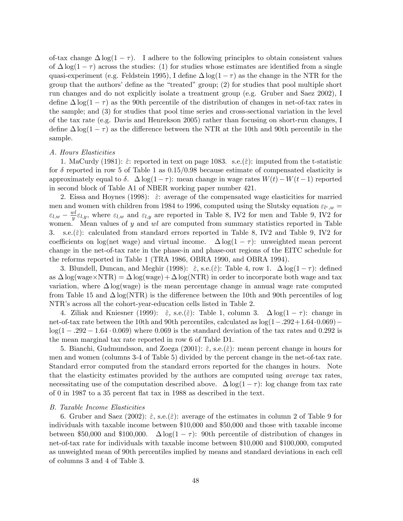of-tax change  $\Delta \log(1 - \tau)$ . I adhere to the following principles to obtain consistent values of  $\Delta \log(1 - \tau)$  across the studies: (1) for studies whose estimates are identified from a single quasi-experiment (e.g. Feldstein 1995), I define  $\Delta \log(1 - \tau)$  as the change in the NTR for the group that the authors' define as the "treated" group;  $(2)$  for studies that pool multiple short run changes and do not explicitly isolate a treatment group (e.g. Gruber and Saez 2002), I define  $\Delta \log(1 - \tau)$  as the 90th percentile of the distribution of changes in net-of-tax rates in the sample; and (3) for studies that pool time series and cross-sectional variation in the level of the tax rate (e.g. Davis and Henrekson 2005) rather than focusing on short-run changes, I define  $\Delta \log(1 - \tau)$  as the difference between the NTR at the 10th and 90th percentile in the sample.

#### A. Hours Elasticities

1. MaCurdy (1981):  $\hat{\varepsilon}$ : reported in text on page 1083. s.e. $(\hat{\varepsilon})$ : imputed from the t-statistic for  $\delta$  reported in row 5 of Table 1 as 0.15/0.98 because estimate of compensated elasticity is approximately equal to  $\delta$ .  $\Delta \log(1 - \tau)$ : mean change in wage rates  $W(t) - W(t-1)$  reported in second block of Table A1 of NBER working paper number 421.

2. Eissa and Hoynes (1998):  $\hat{\varepsilon}$ : average of the compensated wage elasticities for married men and women with children from 1984 to 1996, computed using the Slutsky equation  $\varepsilon_{l^c,w} =$  $\varepsilon_{l,w} - \frac{wl}{y}$  $\frac{w}{y}\varepsilon_{l,y}$ , where  $\varepsilon_{l,w}$  and  $\varepsilon_{l,y}$  are reported in Table 8, IV2 for men and Table 9, IV2 for women. Mean values of  $y$  and  $wl$  are computed from summary statistics reported in Table 3. s.e. $(\hat{\varepsilon})$ : calculated from standard errors reported in Table 8, IV2 and Table 9, IV2 for coefficients on log(net wage) and virtual income.  $\Delta \log(1 - \tau)$ : unweighted mean percent change in the net-of-tax rate in the phase-in and phase-out regions of the EITC schedule for the reforms reported in Table 1 (TRA 1986, OBRA 1990, and OBRA 1994).

3. Blundell, Duncan, and Meghir (1998):  $\hat{\varepsilon}$ , s.e. $(\hat{\varepsilon})$ : Table 4, row 1.  $\Delta \log(1 - \tau)$ : defined as  $\Delta \log(\text{wage} \times \text{NTR}) = \Delta \log(\text{wage}) + \Delta \log(\text{NTR})$  in order to incorporate both wage and tax variation, where  $\Delta \log(wage)$  is the mean percentage change in annual wage rate computed from Table 15 and  $\Delta$ log(NTR) is the difference between the 10th and 90th percentiles of log NTRís across all the cohort-year-education cells listed in Table 2.

4. Ziliak and Kniesner (1999):  $\hat{\varepsilon}$ , s.e. $(\hat{\varepsilon})$ : Table 1, column 3.  $\Delta \log(1 - \tau)$ : change in net-of-tax rate between the 10th and 90th percentiles, calculated as  $log(1-.292+1.64\cdot0.069)$  $log(1 - .292 - 1.64 \cdot 0.069)$  where 0.069 is the standard deviation of the tax rates and 0.292 is the mean marginal tax rate reported in row 6 of Table D1.

5. Bianchi, Gudmundsson, and Zoega (2001):  $\hat{\varepsilon}$ , s.e.( $\hat{\varepsilon}$ ): mean percent change in hours for men and women (columns 3-4 of Table 5) divided by the percent change in the net-of-tax rate. Standard error computed from the standard errors reported for the changes in hours. Note that the elasticity estimates provided by the authors are computed using average tax rates, necessitating use of the computation described above.  $\Delta \log(1 - \tau)$ : log change from tax rate of 0 in 1987 to a 35 percent áat tax in 1988 as described in the text.

#### B. Taxable Income Elasticities

6. Gruber and Saez (2002):  $\hat{\epsilon}$ , s.e. $(\hat{\epsilon})$ : average of the estimates in column 2 of Table 9 for individuals with taxable income between \$10,000 and \$50,000 and those with taxable income between \$50,000 and \$100,000.  $\Delta \log(1 - \tau)$ : 90th percentile of distribution of changes in net-of-tax rate for individuals with taxable income between \$10,000 and \$100,000, computed as unweighted mean of 90th percentiles implied by means and standard deviations in each cell of columns 3 and 4 of Table 3.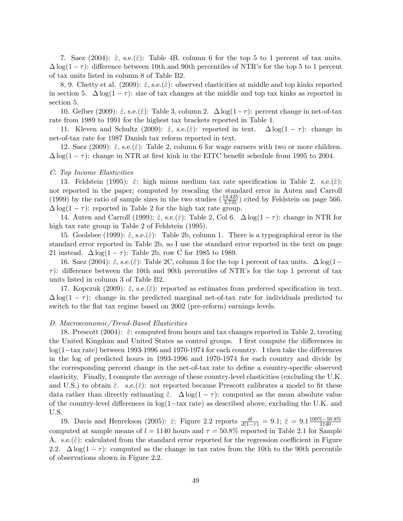7. Saez (2004):  $\hat{\varepsilon}$ , s.e.( $\hat{\varepsilon}$ ): Table 4B, column 6 for the top 5 to 1 percent of tax units.  $\Delta \log(1-\tau)$ : difference between 10th and 90th percentiles of NTR's for the top 5 to 1 percent of tax units listed in column 8 of Table B2.

8, 9. Chetty et al. (2009):  $\hat{\epsilon}$ , s.e.( $\hat{\epsilon}$ ): observed elasticities at middle and top kinks reported in section 5.  $\Delta \log(1 - \tau)$ : size of tax changes at the middle and top tax kinks as reported in section 5.

10. Gelber (2009):  $\hat{\varepsilon}$ , s.e. $(\hat{\varepsilon})$ : Table 3, column 2.  $\Delta \log(1 - \tau)$ : percent change in net-of-tax rate from 1989 to 1991 for the highest tax brackets reported in Table 1.

11. Kleven and Schultz (2009):  $\hat{\varepsilon}$ , s.e. $(\hat{\varepsilon})$ : reported in text.  $\Delta \log(1 - \tau)$ : change in net-of-tax rate for 1987 Danish tax reform reported in text.

12. Saez (2009):  $\hat{\varepsilon}$ , s.e.( $\hat{\varepsilon}$ ): Table 2, column 6 for wage earners with two or more children.  $\Delta \log(1-\tau)$ : change in NTR at first kink in the EITC benefit schedule from 1995 to 2004.

#### C. Top Income Elasticities

13. Feldstein (1995):  $\hat{\varepsilon}$ : high minus medium tax rate specification in Table 2. s.e. $(\hat{\varepsilon})$ : not reported in the paper; computed by rescaling the standard error in Auten and Carroll (1999) by the ratio of sample sizes in the two studies  $(\frac{14,425}{3,735})$  cited by Feldstein on page 566.  $\Delta \log(1 - \tau)$ : reported in Table 2 for the high tax rate group.

14. Auten and Carroll (1999):  $\hat{\varepsilon}$ , s.e.( $\hat{\varepsilon}$ ): Table 2, Col 6.  $\Delta \log(1 - \tau)$ : change in NTR for high tax rate group in Table 2 of Feldstein (1995).

15. Goolsbee (1999):  $\hat{\varepsilon}$ , s.e. $(\hat{\varepsilon})$ : Table 2b, column 1. There is a typographical error in the standard error reported in Table 2b, so I use the standard error reported in the text on page 21 instead.  $\Delta \log(1 - \tau)$ : Table 2b, row C for 1985 to 1989.

16. Saez (2004):  $\hat{\varepsilon}$ , s.e.( $\hat{\varepsilon}$ ): Table 2C, column 3 for the top 1 percent of tax units.  $\Delta \log(1 \tau$ ): difference between the 10th and 90th percentiles of NTR's for the top 1 percent of tax units listed in column 3 of Table B2.

17. Kopczuk (2009):  $\hat{\varepsilon}$ , s.e.( $\hat{\varepsilon}$ ): reported as estimates from preferred specification in text.  $\Delta \log(1 - \tau)$ : change in the predicted marginal net-of-tax rate for individuals predicted to switch to the flat tax regime based on 2002 (pre-reform) earnings levels.

#### D. Macroeconomic/Trend-Based Elasticities

18. Prescott (2004):  $\hat{\varepsilon}$ : computed from hours and tax changes reported in Table 2, treating the United Kingdom and United States as control groups. I first compute the differences in  $log(1-\text{tax rate})$  between 1993-1996 and 1970-1974 for each country. I then take the differences in the log of predicted hours in 1993-1996 and 1970-1974 for each country and divide by the corresponding percent change in the net-of-tax rate to define a country-specific observed elasticity. Finally, I compute the average of these country-level elasticities (excluding the U.K. and U.S.) to obtain  $\hat{\varepsilon}$ . s.e.( $\hat{\varepsilon}$ ): not reported because Prescott calibrates a model to fit these data rather than directly estimating  $\hat{\varepsilon}$ .  $\Delta \log(1 - \tau)$ : computed as the mean absolute value of the country-level differences in  $log(1-tax$  rate) as described above, excluding the U.K. and U.S.

19. Davis and Henrekson (2005):  $\hat{\varepsilon}$ : Figure 2.2 reports  $\frac{dl}{d(1-\tau)} = 9.1; \hat{\varepsilon} = 9.1 \frac{100\% - 50.8\%}{1140}$ computed at sample means of  $l = 1140$  hours and  $\tau = 50.8\%$  reported in Table 2.1 for Sample A. s.e. $(\hat{\varepsilon})$ : calculated from the standard error reported for the regression coefficient in Figure 2.2.  $\Delta \log(1-\tau)$ : computed as the change in tax rates from the 10th to the 90th percentile of observations shown in Figure 2.2.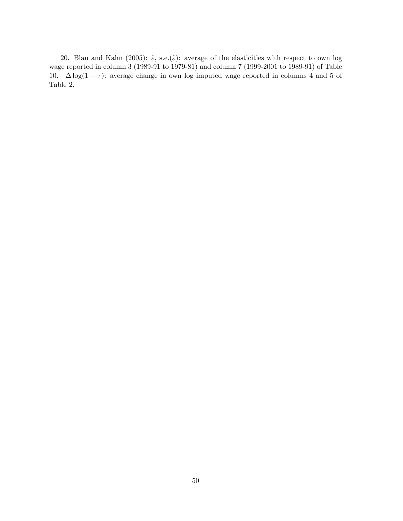20. Blau and Kahn (2005):  $\hat{\varepsilon}$ , s.e.( $\hat{\varepsilon}$ ): average of the elasticities with respect to own log wage reported in column 3 (1989-91 to 1979-81) and column 7 (1999-2001 to 1989-91) of Table 10.  $\Delta \log(1 - \tau)$ : average change in own log imputed wage reported in columns 4 and 5 of Table 2.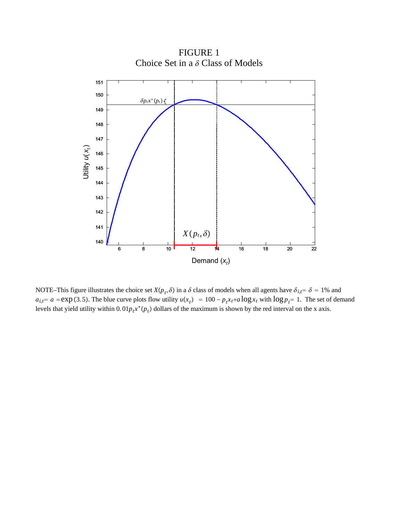

FIGURE 1 Choice Set in a  $\delta$  Class of Models

NOTE–This figure illustrates the choice set  $X(p_t, \delta)$  in a  $\delta$  class of models when all agents have  $\delta_{i,t} = \delta = 1\%$  and  $a_{i,t} = a = \exp(3.5)$ . The blue curve plots flow utility  $u(x_t) = 100 - p_t x_t + a \log x_t$  with  $\log p_t = 1$ . The set of demand levels that yield utility within  $0.01p_t x^*(p_t)$  dollars of the maximum is shown by the red interval on the x axis.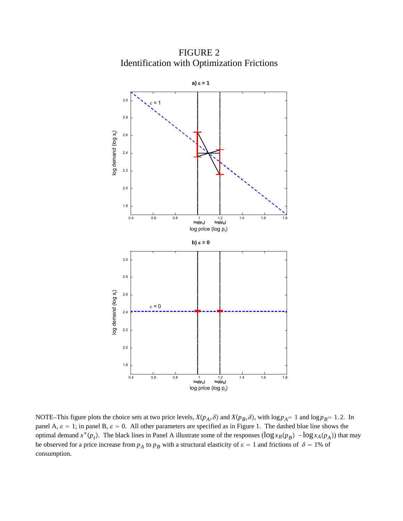FIGURE 2 Identification with Optimization Frictions



NOTE–This figure plots the choice sets at two price levels,  $X(p_A, \delta)$  and  $X(p_B, \delta)$ , with  $\log p_A = 1$  and  $\log p_B = 1.2$ . In panel A,  $\varepsilon = 1$ ; in panel B,  $\varepsilon = 0$ . All other parameters are specified as in Figure 1. The dashed blue line shows the optimal demand  $x^*(p_t)$ . The black lines in Panel A illustrate some of the responses  $(\log x_B(p_B) - \log x_A(p_A))$  that may be observed for a price increase from  $p_A$  to  $p_B$  with a structural elasticity of  $\varepsilon = 1$  and frictions of  $\delta = 1\%$  of consumption.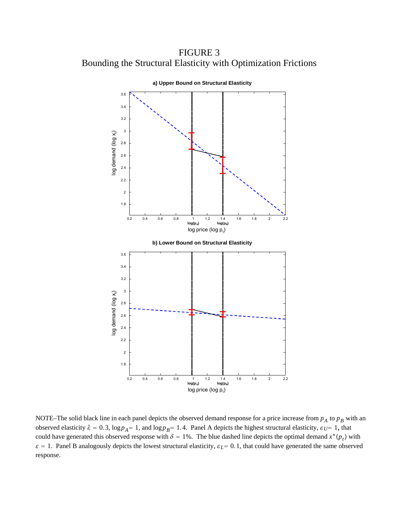FIGURE 3 Bounding the Structural Elasticity with Optimization Frictions



NOTE–The solid black line in each panel depicts the observed demand response for a price increase from  $p_A$  to  $p_B$  with an observed elasticity  $\hat{\epsilon} = 0.3$ ,  $\log p_A = 1$ , and  $\log p_B = 1.4$ . Panel A depicts the highest structural elasticity,  $\epsilon_U = 1$ , that could have generated this observed response with  $\delta = 1\%$ . The blue dashed line depicts the optimal demand  $x^*(p_t)$  with  $\epsilon = 1$ . Panel B analogously depicts the lowest structural elasticity,  $\epsilon_L = 0.1$ , that could have generated the same observed response.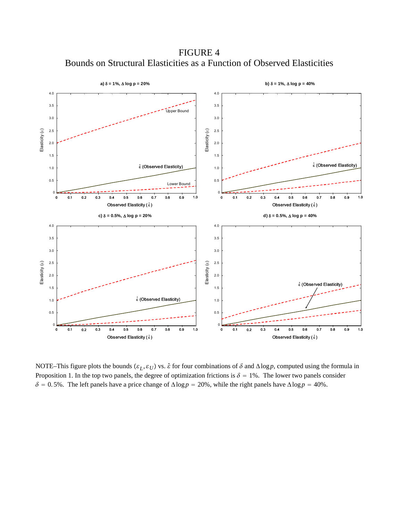FIGURE 4 Bounds on Structural Elasticities as a Function of Observed Elasticities



NOTE–This figure plots the bounds  $(\varepsilon_L, \varepsilon_U)$  vs.  $\hat{\varepsilon}$  for four combinations of  $\delta$  and  $\Delta \log p$ , computed using the formula in Proposition 1. In the top two panels, the degree of optimization frictions is  $\delta = 1\%$ . The lower two panels consider  $\delta = 0.5\%$ . The left panels have a price change of  $\Delta \log p = 20\%$ , while the right panels have  $\Delta \log p = 40\%$ .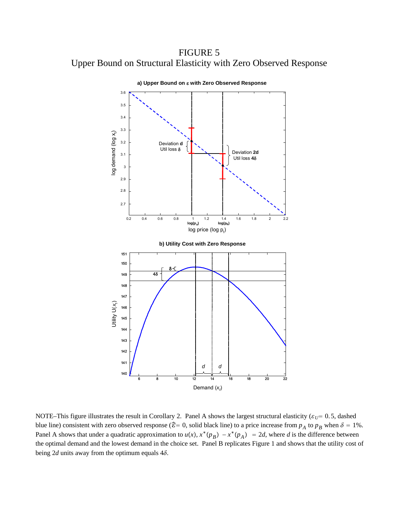FIGURE 5 Upper Bound on Structural Elasticity with Zero Observed Response



NOTE–This figure illustrates the result in Corollary 2. Panel A shows the largest structural elasticity ( $\varepsilon_U$  = 0.5, dashed blue line) consistent with zero observed response ( $\hat{\epsilon} = 0$ , solid black line) to a price increase from  $p_A$  to  $p_B$  when  $\delta = 1\%$ . Panel A shows that under a quadratic approximation to  $u(x)$ ,  $x^*(p_B) - x^*(p_A) = 2d$ , where *d* is the difference between the optimal demand and the lowest demand in the choice set. Panel B replicates Figure 1 and shows that the utility cost of being 2*d* units away from the optimum equals  $4\delta$ .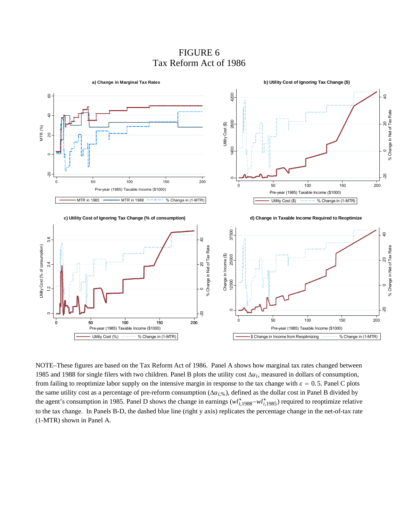# FIGURE 6 Tax Reform Act of 1986



NOTE–These figures are based on the Tax Reform Act of 1986. Panel A shows how marginal tax rates changed between 1985 and 1988 for single filers with two children. Panel B plots the utility cost Δ*ui*, measured in dollars of consumption, from failing to reoptimize labor supply on the intensive margin in response to the tax change with  $\varepsilon = 0.5$ . Panel C plots the same utility cost as a percentage of pre-reform consumption (Δ*ui*,%), defined as the dollar cost in Panel B divided by the agent's consumption in 1985. Panel D shows the change in earnings  $(wl_{i,1988}^* - wl_{i,1985}^*)$  required to reoptimize relative to the tax change. In Panels B-D, the dashed blue line (right y axis) replicates the percentage change in the net-of-tax rate (1-MTR) shown in Panel A.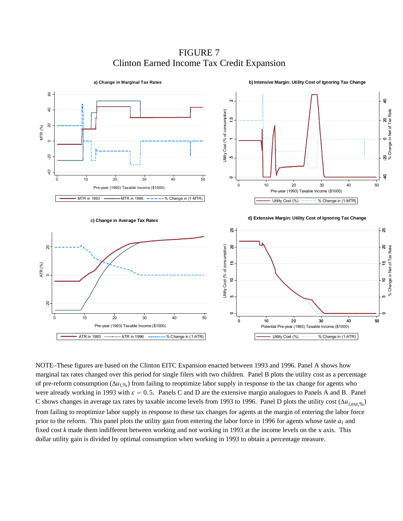**b) Intensive Margin: Utility Cost of Ignoring Tax Change a) Change in Marginal Tax Rates**  $60\,$ -40 -20 0 20 40 60 ុិ **GP 82 0 20 7 จุล** 0 .5 1 1.5 2  $\overline{Q}$ -20 0 20<br>% Change in Net of Tax Rate Utility Cost (% of consumption) Utility Cost (% of consumption) % Change in Net of Tax Rate  $\frac{1}{2}$ MTR (%)  $\overline{20}$  $\circ$  $\overline{5}$  $-40$ ទ  $\circ$ 0 10 20 30 40 50 0 10 20 30 40 50 Pre-year (1993) Taxable Income (\$1000) Pre-year (1993) Taxable Income (\$1000) MTR in 1993  $\longrightarrow$  MTR in 1996  $\longrightarrow$  -  $\longleftarrow$  Change in (1-MTR) Utility Cost  $(\%)$  ---- % Change in (1-MTR) **d) Extensive Margin: Utility Cost of Ignoring Tax Change c) Change in Average Tax Rates**  $25 -$ -8 5 10 15 20 25 5 10 15 20 25  $\Omega$ Utility Cost (% of consumption) ୡ  $\frac{1}{2}$  10 15 20<br>% Change in Net of Tax Rate ନ<br>ମ<br>ମ Utility Cost (% of consumption) % Change in Net of Tax Rate  $\frac{10}{2}$ ATR (%)  $\tilde{a}$  $50$  $\circ$ 0 0 10 20 30 40 50 0 10 20 30 40 50 Pre-year (1993) Taxable Income (\$1000) Potential Pre-year (1993) Taxable Income (\$1000) Utility Cost  $(\%)$  ---- % Change in (1-ATR) ATR in 1993 - ATR in 1996 --------% Change in (1-ATR)

FIGURE 7 Clinton Earned Income Tax Credit Expansion

NOTE–These figures are based on the Clinton EITC Expansion enacted between 1993 and 1996. Panel A shows how marginal tax rates changed over this period for single filers with two children. Panel B plots the utility cost as a percentage of pre-reform consumption (Δ*ui*,%) from failing to reoptimize labor supply in response to the tax change for agents who were already working in 1993 with  $\varepsilon = 0.5$ . Panels C and D are the extensive margin analogues to Panels A and B. Panel C shows changes in average tax rates by taxable income levels from 1993 to 1996. Panel D plots the utility cost  $(\Delta u_{i,ext, %})$ from failing to reoptimize labor supply in response to these tax changes for agents at the margin of entering the labor force prior to the reform. This panel plots the utility gain from entering the labor force in 1996 for agents whose taste *ai* and fixed cost *k* made them indifferent between working and not working in 1993 at the income levels on the x axis. This dollar utility gain is divided by optimal consumption when working in 1993 to obtain a percentage measure.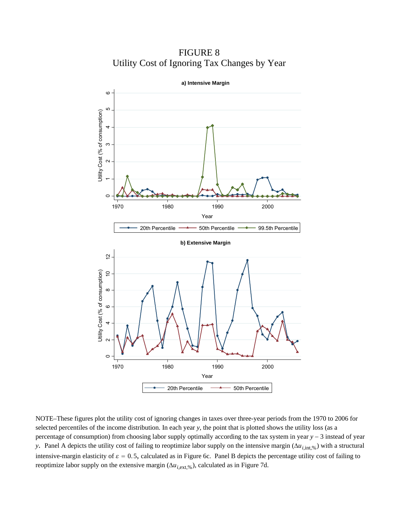FIGURE 8 Utility Cost of Ignoring Tax Changes by Year



NOTE–These figures plot the utility cost of ignoring changes in taxes over three-year periods from the 1970 to 2006 for selected percentiles of the income distribution. In each year *y*, the point that is plotted shows the utility loss (as a percentage of consumption) from choosing labor supply optimally according to the tax system in year *y* − 3 instead of year *y*. Panel A depicts the utility cost of failing to reoptimize labor supply on the intensive margin (Δ*u*<sub>*i*,int,%)</sub> with a structural intensive-margin elasticity of  $\varepsilon = 0.5$ , calculated as in Figure 6c. Panel B depicts the percentage utility cost of failing to reoptimize labor supply on the extensive margin  $(\Delta u_{i,ext, %})$ , calculated as in Figure 7d.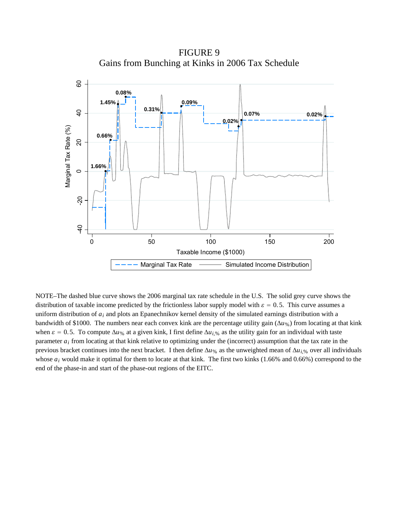FIGURE 9 Gains from Bunching at Kinks in 2006 Tax Schedule



NOTE–The dashed blue curve shows the 2006 marginal tax rate schedule in the U.S. The solid grey curve shows the distribution of taxable income predicted by the frictionless labor supply model with  $\varepsilon = 0.5$ . This curve assumes a uniform distribution of *ai* and plots an Epanechnikov kernel density of the simulated earnings distribution with a bandwidth of \$1000. The numbers near each convex kink are the percentage utility gain (Δ*u*%) from locating at that kink when  $\varepsilon = 0.5$ . To compute  $\Delta u_{\%}$  at a given kink, I first define  $\Delta u_{i,\%}$  as the utility gain for an individual with taste parameter *ai* from locating at that kink relative to optimizing under the (incorrect) assumption that the tax rate in the previous bracket continues into the next bracket. I then define  $\Delta u_{\%}$  as the unweighted mean of  $\Delta u_{i,\%}$  over all individuals whose  $a_i$  would make it optimal for them to locate at that kink. The first two kinks (1.66% and 0.66%) correspond to the end of the phase-in and start of the phase-out regions of the EITC.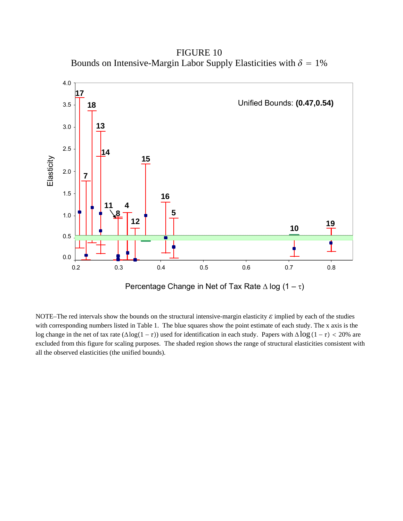FIGURE 10 Bounds on Intensive-Margin Labor Supply Elasticities with  $\delta = 1\%$ 



NOTE–The red intervals show the bounds on the structural intensive-margin elasticity  $\varepsilon$  implied by each of the studies with corresponding numbers listed in Table 1. The blue squares show the point estimate of each study. The x axis is the log change in the net of tax rate  $(\Delta \log(1 - \tau))$  used for identification in each study. Papers with  $\Delta \log(1 - \tau) < 20\%$  are excluded from this figure for scaling purposes. The shaded region shows the range of structural elasticities consistent with all the observed elasticities (the unified bounds).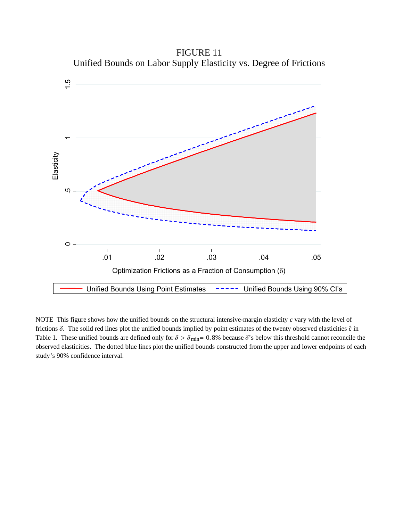FIGURE 11 Unified Bounds on Labor Supply Elasticity vs. Degree of Frictions



NOTE–This figure shows how the unified bounds on the structural intensive-margin elasticity  $\varepsilon$  vary with the level of frictions  $\delta$ . The solid red lines plot the unified bounds implied by point estimates of the twenty observed elasticities  $\hat{\epsilon}$  in Table 1. These unified bounds are defined only for  $\delta > \delta_{\text{min}} = 0.8\%$  because  $\delta$ 's below this threshold cannot reconcile the observed elasticities. The dotted blue lines plot the unified bounds constructed from the upper and lower endpoints of each study's 90% confidence interval.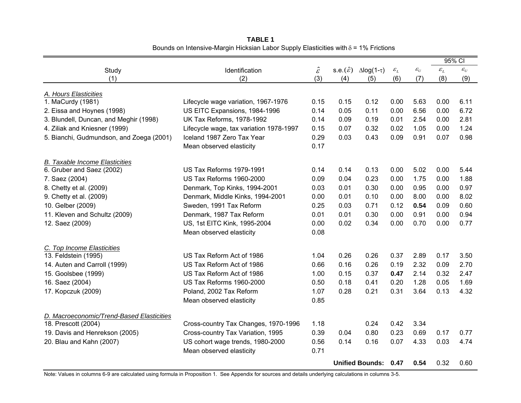|                                                                  |                                         |                            |                             |                          |                 |                 | 95% CI          |                 |
|------------------------------------------------------------------|-----------------------------------------|----------------------------|-----------------------------|--------------------------|-----------------|-----------------|-----------------|-----------------|
| Study                                                            | Identification                          |                            | s.e. $(\hat{\varepsilon})$  | $\Delta$ log(1- $\tau$ ) | $\mathcal{E}_L$ | $\mathcal{E}_U$ | $\mathcal{E}_L$ | $\mathcal{E}_U$ |
| (1)                                                              | (2)                                     | $\hat{\mathcal{E}}$<br>(3) | (4)                         | (5)                      | (6)             | (7)             | (8)             | (9)             |
|                                                                  |                                         |                            |                             |                          |                 |                 |                 |                 |
| A. Hours Elasticities<br>1. MaCurdy (1981)                       | Lifecycle wage variation, 1967-1976     |                            |                             | 0.12                     | 0.00            | 5.63            | 0.00            | 6.11            |
| 2. Eissa and Hoynes (1998)                                       | US EITC Expansions, 1984-1996           |                            | 0.15<br>0.05                | 0.11                     | 0.00            | 6.56            | 0.00            | 6.72            |
| 3. Blundell, Duncan, and Meghir (1998)                           | UK Tax Reforms, 1978-1992               | 0.14<br>0.14               | 0.09                        | 0.19                     | 0.01            | 2.54            | 0.00            | 2.81            |
| 4. Ziliak and Kniesner (1999)                                    | Lifecycle wage, tax variation 1978-1997 | 0.15                       | 0.07                        | 0.32                     | 0.02            | 1.05            | 0.00            | 1.24            |
| 5. Bianchi, Gudmundson, and Zoega (2001)                         | Iceland 1987 Zero Tax Year              | 0.29                       | 0.03                        | 0.43                     | 0.09            | 0.91            | 0.07            | 0.98            |
|                                                                  | Mean observed elasticity                | 0.17                       |                             |                          |                 |                 |                 |                 |
|                                                                  |                                         |                            |                             |                          |                 |                 |                 |                 |
| <b>B.</b> Taxable Income Elasticities                            |                                         | 0.14                       |                             |                          |                 |                 |                 |                 |
| 6. Gruber and Saez (2002)                                        | <b>US Tax Reforms 1979-1991</b>         |                            | 0.14                        | 0.13                     | 0.00            | 5.02            | 0.00            | 5.44            |
| 7. Saez (2004)                                                   | US Tax Reforms 1960-2000                |                            | 0.04                        | 0.23                     | 0.00            | 1.75            | 0.00            | 1.88            |
| 8. Chetty et al. (2009)                                          | Denmark, Top Kinks, 1994-2001           |                            | 0.01                        | 0.30                     | 0.00            | 0.95            | 0.00            | 0.97            |
| 9. Chetty et al. (2009)                                          | Denmark, Middle Kinks, 1994-2001        |                            | 0.01                        | 0.10                     | 0.00            | 8.00            | 0.00            | 8.02            |
| 10. Gelber (2009)                                                | Sweden, 1991 Tax Reform                 | 0.25                       | 0.03                        | 0.71                     | 0.12            | 0.54            | 0.09            | 0.60            |
| 11. Kleven and Schultz (2009)                                    | Denmark, 1987 Tax Reform                | 0.01                       | 0.01                        | 0.30                     | 0.00            | 0.91            | 0.00            | 0.94            |
| 12. Saez (2009)                                                  | US, 1st EITC Kink, 1995-2004            | 0.00                       | 0.02                        | 0.34                     | 0.00            | 0.70            | 0.00            | 0.77            |
|                                                                  | Mean observed elasticity                | 0.08                       |                             |                          |                 |                 |                 |                 |
| C. Top Income Elasticities                                       |                                         |                            |                             |                          |                 |                 |                 |                 |
| 13. Feldstein (1995)                                             | US Tax Reform Act of 1986               | 1.04                       | 0.26                        | 0.26                     | 0.37            | 2.89            | 0.17            | 3.50            |
| 14. Auten and Carroll (1999)                                     | US Tax Reform Act of 1986               | 0.66                       | 0.16                        | 0.26                     | 0.19            | 2.32            | 0.09            | 2.70            |
| 15. Goolsbee (1999)                                              | US Tax Reform Act of 1986               | 1.00                       | 0.15                        | 0.37                     | 0.47            | 2.14            | 0.32            | 2.47            |
| 16. Saez (2004)                                                  | US Tax Reforms 1960-2000                | 0.50                       | 0.18                        | 0.41                     | 0.20            | 1.28            | 0.05            | 1.69            |
| 17. Kopczuk (2009)                                               | Poland, 2002 Tax Reform                 | 1.07                       | 0.28                        | 0.21                     | 0.31            | 3.64            | 0.13            | 4.32            |
|                                                                  | Mean observed elasticity                | 0.85                       |                             |                          |                 |                 |                 |                 |
|                                                                  |                                         |                            |                             |                          |                 |                 |                 |                 |
| D. Macroeconomic/Trend-Based Elasticities<br>18. Prescott (2004) | Cross-country Tax Changes, 1970-1996    | 1.18                       |                             | 0.24                     | 0.42            | 3.34            |                 |                 |
| 19. Davis and Henrekson (2005)                                   | Cross-country Tax Variation, 1995       | 0.39                       | 0.04                        | 0.80                     | 0.23            | 0.69            | 0.17            | 0.77            |
|                                                                  | US cohort wage trends, 1980-2000        |                            |                             | 0.16                     | 0.07            | 4.33            | 0.03            | 4.74            |
| 20. Blau and Kahn (2007)                                         | Mean observed elasticity                |                            | 0.14                        |                          |                 |                 |                 |                 |
|                                                                  |                                         | 0.71                       |                             |                          |                 |                 |                 |                 |
|                                                                  |                                         |                            | <b>Unified Bounds: 0.47</b> |                          | 0.54            | 0.32            | 0.60            |                 |

**TABLE 1** Bounds on Intensive-Margin Hicksian Labor Supply Elasticities with  $\delta$  = 1% Frictions

Note: Values in columns 6-9 are calculated using formula in Proposition 1. See Appendix for sources and details underlying calculations in columns 3-5.